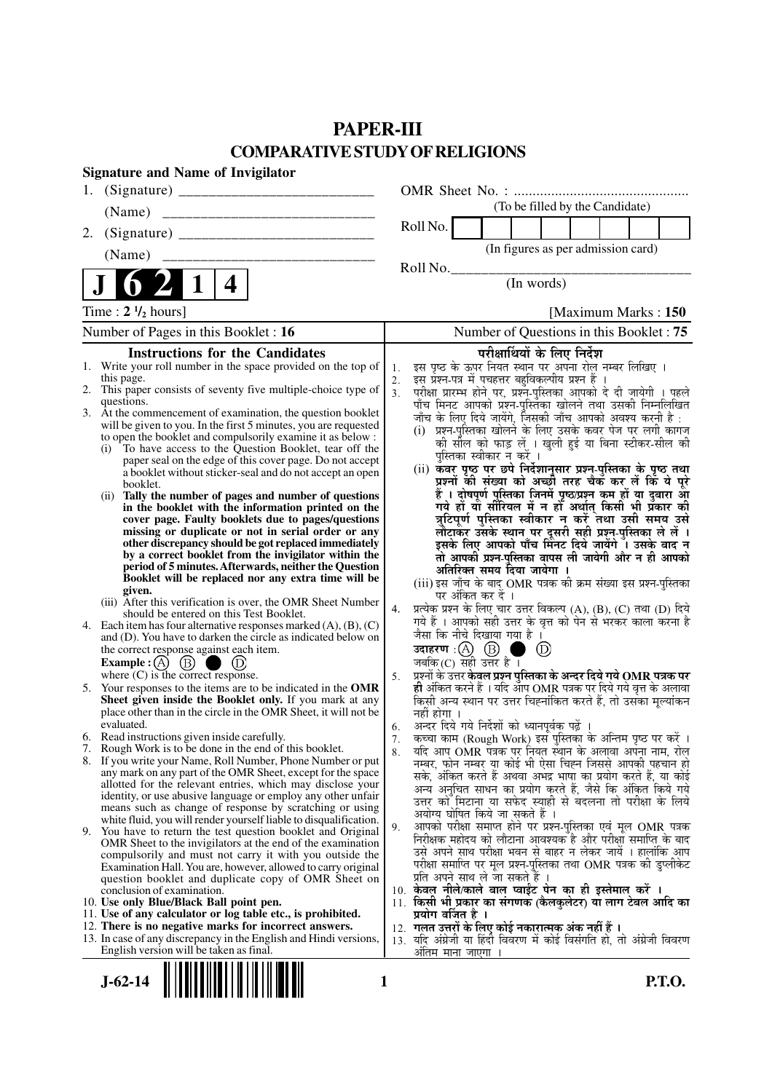## **PAPER-III COMPARATIVE STUDY OF RELIGIONS**

| <b>Signature and Name of Invigilator</b>                                                                                                 |                                         |                                                                                                                                                                                                                           |  |                |                               |                                                                                                                       |  |  |
|------------------------------------------------------------------------------------------------------------------------------------------|-----------------------------------------|---------------------------------------------------------------------------------------------------------------------------------------------------------------------------------------------------------------------------|--|----------------|-------------------------------|-----------------------------------------------------------------------------------------------------------------------|--|--|
|                                                                                                                                          |                                         |                                                                                                                                                                                                                           |  |                |                               |                                                                                                                       |  |  |
| (Name)                                                                                                                                   |                                         |                                                                                                                                                                                                                           |  |                |                               | (To be filled by the Candidate)                                                                                       |  |  |
| 2.                                                                                                                                       |                                         | Roll No.                                                                                                                                                                                                                  |  |                |                               |                                                                                                                       |  |  |
| (Name)                                                                                                                                   |                                         |                                                                                                                                                                                                                           |  |                |                               | (In figures as per admission card)                                                                                    |  |  |
|                                                                                                                                          |                                         | Roll No.                                                                                                                                                                                                                  |  |                |                               |                                                                                                                       |  |  |
| 4                                                                                                                                        |                                         |                                                                                                                                                                                                                           |  | (In words)     |                               |                                                                                                                       |  |  |
| Time : $2 \frac{1}{2}$ hours]                                                                                                            |                                         |                                                                                                                                                                                                                           |  |                |                               | [Maximum Marks: 150                                                                                                   |  |  |
| Number of Pages in this Booklet : 16                                                                                                     | Number of Questions in this Booklet: 75 |                                                                                                                                                                                                                           |  |                |                               |                                                                                                                       |  |  |
| <b>Instructions for the Candidates</b>                                                                                                   |                                         |                                                                                                                                                                                                                           |  |                | परीक्षार्थियों के लिए निर्देश |                                                                                                                       |  |  |
| 1. Write your roll number in the space provided on the top of<br>this page.                                                              | 1.                                      | इस पृष्ठ के ऊपर नियत स्थान पर अपना रोल नम्बर लिखिए ।<br>इस प्रश्न-पत्र में पचहत्तर बहुविकल्पीय प्रश्न हैं ।                                                                                                               |  |                |                               |                                                                                                                       |  |  |
| 2. This paper consists of seventy five multiple-choice type of                                                                           | 2.<br>3 <sub>1</sub>                    |                                                                                                                                                                                                                           |  |                |                               |                                                                                                                       |  |  |
| questions.<br>3. At the commencement of examination, the question booklet                                                                |                                         | परीक्षा प्रारम्भ होने पर, प्रश्नॅं-पुस्तिका आपको दे दी जायेगी । पहले<br>पाँच मिनट आपको प्रश्न-पुस्तिका खोलने तथा उसकी निम्नलिखित                                                                                          |  |                |                               |                                                                                                                       |  |  |
| will be given to you. In the first 5 minutes, you are requested                                                                          |                                         | जाँच के लिए दिये जायेंगे, जिसकी जाँच आपको अवश्य करनी है :<br>(i) प्रश्न-पुस्तिका खोलने के लिए उसके कवर पेज पर लगी कागज                                                                                                    |  |                |                               |                                                                                                                       |  |  |
| to open the booklet and compulsorily examine it as below :<br>To have access to the Question Booklet, tear off the                       |                                         |                                                                                                                                                                                                                           |  |                |                               | को सील को फाड़ लें । खुली हुई या बिना स्टीकर-सील की                                                                   |  |  |
| (i)<br>paper seal on the edge of this cover page. Do not accept                                                                          |                                         | पुस्तिका स्वीकार न करें ।                                                                                                                                                                                                 |  |                |                               |                                                                                                                       |  |  |
| a booklet without sticker-seal and do not accept an open                                                                                 |                                         | (ii) कवर पृष्ठ पर छपे निर्देशानुसार प्रश्न्-पुस्तिका के पृष्ठ तथा                                                                                                                                                         |  |                |                               | प्रश्नों की संख्या को अच्छी तरह चैक कर लें कि ये पूरे                                                                 |  |  |
| booklet.<br>Tally the number of pages and number of questions<br>(ii)                                                                    |                                         |                                                                                                                                                                                                                           |  |                |                               | हैं । दोषपूर्ण पुस्तिका जिनमें पृष्ठ/प्रश्न कम हों या दुबारा आ<br>गये हो या सीरियल में न हो अर्थात् किसी भी प्रकार की |  |  |
| in the booklet with the information printed on the                                                                                       |                                         |                                                                                                                                                                                                                           |  |                |                               |                                                                                                                       |  |  |
| cover page. Faulty booklets due to pages/questions<br>missing or duplicate or not in serial order or any                                 |                                         |                                                                                                                                                                                                                           |  |                |                               | त्रुटिपूर्ण पुस्तिका स्वीकार न् करें तथा उसी समय उसे                                                                  |  |  |
| other discrepancy should be got replaced immediately                                                                                     |                                         |                                                                                                                                                                                                                           |  |                |                               | लौटाकर उसके स्थान पर दूसरी सही प्रश्न-पुस्तिका ले लें ।<br>इसके लिए आपको पाँच मिनट दिये जायेंगे । उसके बाद न्         |  |  |
| by a correct booklet from the invigilator within the<br>period of 5 minutes. Afterwards, neither the Question                            |                                         | अतिरिक्त समय दिया जायेगा ।                                                                                                                                                                                                |  |                |                               | तो आपकी प्रश्न-पुस्तिका वापस ली जायेगी और न ही आपको                                                                   |  |  |
| Booklet will be replaced nor any extra time will be                                                                                      |                                         | (iii) इस जाँच के बाद OMR पत्रक की क्रम संख्या इस प्रश्न-पुस्तिका                                                                                                                                                          |  |                |                               |                                                                                                                       |  |  |
| given.<br>(iii) After this verification is over, the OMR Sheet Number                                                                    |                                         | पर अंकित कर दें ।                                                                                                                                                                                                         |  |                |                               |                                                                                                                       |  |  |
| should be entered on this Test Booklet.                                                                                                  | 4.                                      | प्रत्येक प्रश्न के लिए चार उत्तर विकल्प (A), (B), (C) तथा (D) दिये<br>गये हैं । आपको सही उत्तर के वृत्त को पेन से भरकर काला करना है                                                                                       |  |                |                               |                                                                                                                       |  |  |
| 4. Each item has four alternative responses marked $(A)$ , $(B)$ , $(C)$<br>and (D). You have to darken the circle as indicated below on |                                         | जैसा कि नीचे दिखाया गया है ।                                                                                                                                                                                              |  |                |                               |                                                                                                                       |  |  |
| the correct response against each item.                                                                                                  |                                         |                                                                                                                                                                                                                           |  | $\circledcirc$ |                               |                                                                                                                       |  |  |
| $\circled{B}$<br><b>Example</b> : $(A)$<br>where $(C)$ is the correct response.                                                          | 5.                                      | जबकि $(C)$ सही उत्तर है।                                                                                                                                                                                                  |  |                |                               |                                                                                                                       |  |  |
| 5. Your responses to the items are to be indicated in the OMR                                                                            |                                         | प्रश्नों के उत्तर <b>केवल प्रश्न पुस्तिका के अन्दर दिये गये OMR पत्रक पर</b><br><b>ही</b> अंकित करने हैं । यदि आप OMR पत्रक पर दिये गये वृत्त के अलावा<br>किसी अन्य स्थान पर उत्तर चिह्नांकित करते हैं, तो उसका मूल्यांकन |  |                |                               |                                                                                                                       |  |  |
| Sheet given inside the Booklet only. If you mark at any                                                                                  |                                         |                                                                                                                                                                                                                           |  |                |                               |                                                                                                                       |  |  |
| place other than in the circle in the OMR Sheet, it will not be<br>evaluated.                                                            | 6.                                      | नहीं होगा ।<br>अन्दर दिये गये निर्देशों को ध्यानपूर्वक पढ़ें ।                                                                                                                                                            |  |                |                               |                                                                                                                       |  |  |
| 6. Read instructions given inside carefully.                                                                                             | 7.                                      | कच्चा काम (Rough Work) इस पुस्तिका के अन्तिम पृष्ठ पर करें ।                                                                                                                                                              |  |                |                               |                                                                                                                       |  |  |
| 7. Rough Work is to be done in the end of this booklet.<br>8. If you write your Name, Roll Number, Phone Number or put                   | 8.                                      | र्याद आप OMR पत्रक पर नियत स्थान के अलावा अपना नाम, रोल<br>नम्बर, फोन नम्बर या कोई भी ऐसा चिह्न जिससे आपकी पहचान हो                                                                                                       |  |                |                               |                                                                                                                       |  |  |
| any mark on any part of the OMR Sheet, except for the space                                                                              |                                         | सके, अंकित करते हैं अथवा अभद्र भाषा का प्रयोग करते हैं, या कोई                                                                                                                                                            |  |                |                               |                                                                                                                       |  |  |
| allotted for the relevant entries, which may disclose your<br>identity, or use abusive language or employ any other unfair               |                                         | अन्य अनुचित साधन का प्रयोग करते हैं, जैसे कि अंकित किये गये                                                                                                                                                               |  |                |                               |                                                                                                                       |  |  |
| means such as change of response by scratching or using                                                                                  |                                         | उत्तर को मिटाना या सफेद स्याही से बदलना तो परीक्षा के लिये<br>अयोग्य घोषित किये जा सकते हैं ।                                                                                                                             |  |                |                               |                                                                                                                       |  |  |
| white fluid, you will render yourself liable to disqualification.<br>9. You have to return the test question booklet and Original        | 9.                                      | आपको परीक्षा समाप्त होने पर प्रश्न-पुस्तिका एवं मूल OMR पत्रक                                                                                                                                                             |  |                |                               |                                                                                                                       |  |  |
| OMR Sheet to the invigilators at the end of the examination                                                                              |                                         | निरीक्षक महोदय को लौटाना आवश्यक है और परीक्षा समाप्ति के बाद                                                                                                                                                              |  |                |                               |                                                                                                                       |  |  |
| compulsorily and must not carry it with you outside the<br>Examination Hall. You are, however, allowed to carry original                 |                                         | उसे अपने साथ परीक्षा भवन से बाहर न लेकर जायें । हालांकि आप<br>परीक्षा समाप्ति पर मूल प्रश्न-पुस्तिका तथा OMR पत्रक की डुप्लीकेट                                                                                           |  |                |                               |                                                                                                                       |  |  |
| question booklet and duplicate copy of OMR Sheet on                                                                                      |                                         | प्रति अपने साथ ले जा सकते हैं ।                                                                                                                                                                                           |  |                |                               |                                                                                                                       |  |  |
| conclusion of examination.<br>10. Use only Blue/Black Ball point pen.                                                                    |                                         | 10. केवल नीले/काले बाल प्वाईंट पेन का ही इस्तेमाल करें ।<br>11. किसी भी प्रकार का संगणक (कैलकुलेटर) या लाग टेबल आदि का                                                                                                    |  |                |                               |                                                                                                                       |  |  |
| 11. Use of any calculator or log table etc., is prohibited.                                                                              |                                         | प्रयोग वर्जित है ।                                                                                                                                                                                                        |  |                |                               |                                                                                                                       |  |  |
| 12. There is no negative marks for incorrect answers.                                                                                    |                                         | 12. गलत उत्तरों के लिए कोई नकारात्मक अंक नहीं हैं ।                                                                                                                                                                       |  |                |                               |                                                                                                                       |  |  |
| 13. In case of any discrepancy in the English and Hindi versions,<br>English version will be taken as final.                             |                                         | 13. यदि अंग्रेजी या हिंदी विवरण में कोई विसंगति हो, तो अंग्रेजी विवरण<br>अंतिम माना जाएगा                                                                                                                                 |  |                |                               |                                                                                                                       |  |  |

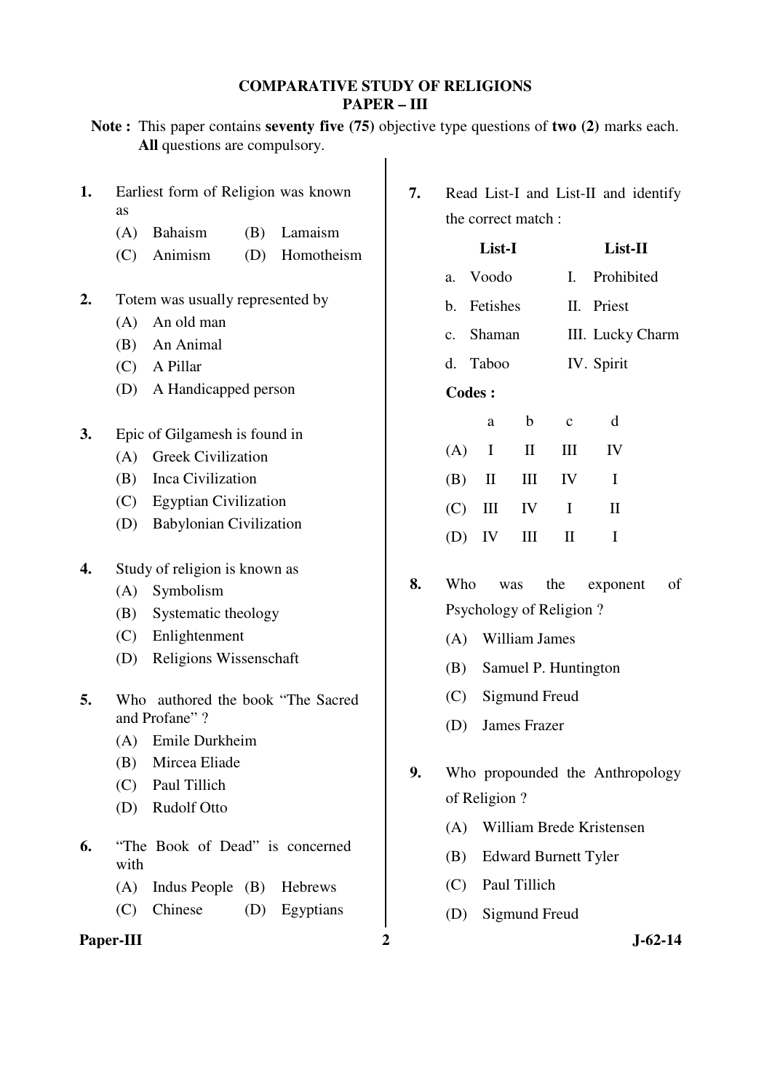### **COMPARATIVE STUDY OF RELIGIONS PAPER – III**

|    | Note: This paper contains seventy five (75) objective type questions of two (2) marks each.<br>All questions are compulsory. |               |                                                            |                     |                   |                             |                                 |  |
|----|------------------------------------------------------------------------------------------------------------------------------|---------------|------------------------------------------------------------|---------------------|-------------------|-----------------------------|---------------------------------|--|
| 1. | Earliest form of Religion was known<br>as<br>Bahaism<br>(A)<br>(B)                                                           | 7.<br>Lamaism | Read List-I and List-II and identify<br>the correct match: |                     |                   |                             |                                 |  |
|    | Animism<br>(D)<br>(C)                                                                                                        | Homotheism    |                                                            | List-I              |                   |                             | List-II                         |  |
|    |                                                                                                                              |               | a.                                                         | Voodo               |                   | I.                          | Prohibited                      |  |
| 2. | Totem was usually represented by                                                                                             |               | b.                                                         | Fetishes            |                   |                             | II. Priest                      |  |
|    | An old man<br>(A)                                                                                                            |               |                                                            |                     |                   |                             |                                 |  |
|    | An Animal<br>(B)                                                                                                             |               | c.                                                         | Shaman              |                   | III. Lucky Charm            |                                 |  |
|    | A Pillar<br>(C)                                                                                                              |               | d.                                                         | Taboo               |                   | IV. Spirit                  |                                 |  |
|    | (D)<br>A Handicapped person                                                                                                  |               | <b>Codes:</b>                                              |                     |                   |                             |                                 |  |
|    |                                                                                                                              |               |                                                            | a                   | $\mathbf b$       | $\mathbf c$                 | d                               |  |
| 3. | Epic of Gilgamesh is found in<br><b>Greek Civilization</b><br>(A)                                                            |               | (A)                                                        | I                   | $\mathbf{I}$      | Ш                           | IV                              |  |
|    | Inca Civilization<br>(B)                                                                                                     |               | (B)                                                        | $\mathbf{I}$        | III               | IV                          | $\mathbf I$                     |  |
|    | <b>Egyptian Civilization</b><br>(C)                                                                                          |               |                                                            |                     |                   |                             |                                 |  |
|    | <b>Babylonian Civilization</b><br>(D)                                                                                        |               | (C)                                                        | Ш                   | IV                | $\bf{I}$                    | $\mathbf{I}$                    |  |
|    |                                                                                                                              |               | (D)                                                        | IV                  | III               | $\mathbf{I}$                | $\bf{I}$                        |  |
| 4. | Study of religion is known as                                                                                                |               |                                                            |                     |                   |                             |                                 |  |
|    | (A)<br>Symbolism                                                                                                             | 8.            | Who<br>of<br>the<br>exponent<br>was                        |                     |                   |                             |                                 |  |
|    | Systematic theology<br>(B)                                                                                                   |               |                                                            |                     |                   | Psychology of Religion?     |                                 |  |
|    | Enlightenment<br>(C)                                                                                                         |               | (A)                                                        |                     | William James     |                             |                                 |  |
|    | (D)<br>Religions Wissenschaft                                                                                                |               | (B)                                                        |                     |                   | Samuel P. Huntington        |                                 |  |
| 5. | Who authored the book "The Sacred                                                                                            |               |                                                            |                     | (C) Sigmund Freud |                             |                                 |  |
|    | and Profane"?                                                                                                                |               | (D)                                                        | <b>James Frazer</b> |                   |                             |                                 |  |
|    | Emile Durkheim<br>(A)                                                                                                        |               |                                                            |                     |                   |                             |                                 |  |
|    | Mircea Eliade<br>(B)                                                                                                         | 9.            |                                                            |                     |                   |                             | Who propounded the Anthropology |  |
|    | Paul Tillich<br>(C)                                                                                                          |               |                                                            | of Religion?        |                   |                             |                                 |  |
|    | <b>Rudolf Otto</b><br>(D)                                                                                                    |               |                                                            |                     |                   |                             |                                 |  |
| 6. | "The Book of Dead" is concerned                                                                                              |               | (A)                                                        |                     |                   |                             | William Brede Kristensen        |  |
|    | with                                                                                                                         |               | (B)                                                        |                     |                   | <b>Edward Burnett Tyler</b> |                                 |  |
|    | (A)<br>Indus People $(B)$                                                                                                    | Hebrews       | (C)                                                        |                     | Paul Tillich      |                             |                                 |  |
|    | Chinese<br>(C)<br>(D)                                                                                                        | Egyptians     | (D)                                                        |                     | Sigmund Freud     |                             |                                 |  |

## **Paper-III** 2 J-62-14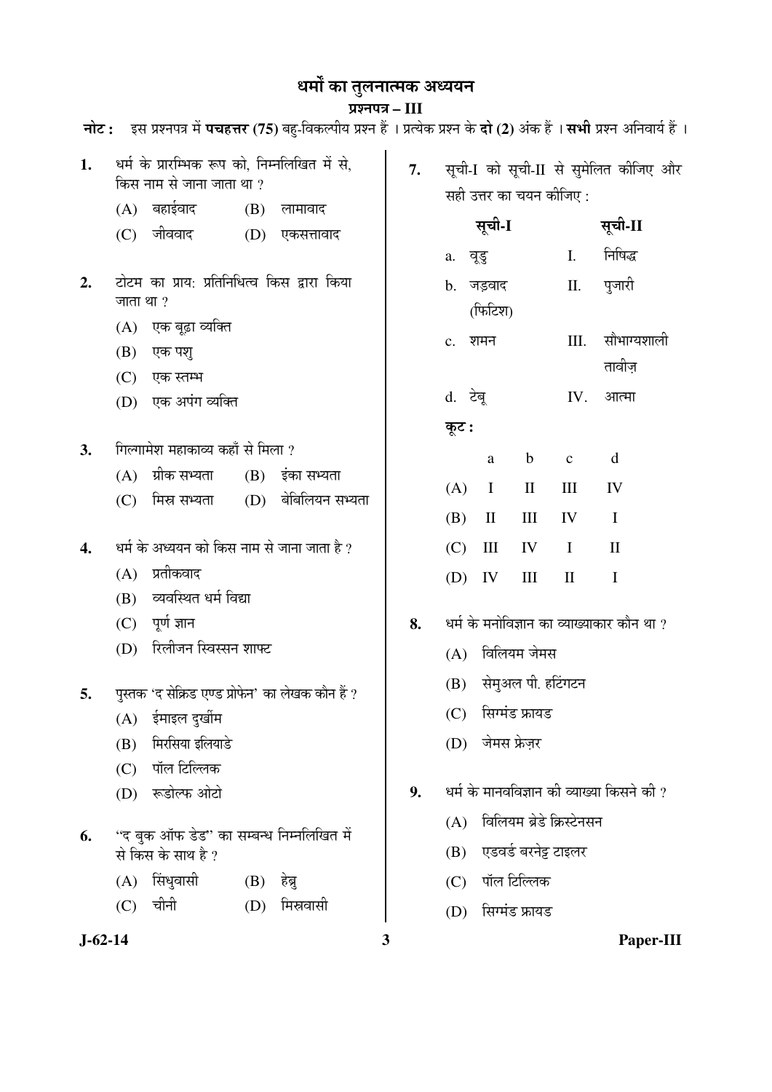# धर्मो का तुलनात्मक अध्ययन

## प्रश्नपत्र – III

| नोट :         |            |                                                                            |            | इस प्रश्नपत्र में <b>पचहत्तर</b> (75) बहु-विकल्पीय प्रश्न हैं । प्रत्येक प्रश्न के <b>दो</b> (2) अंक हैं । <b>सभी</b> प्रश्न अनिवार्य हैं |    |       |                                            |                           |              |                                            |           |
|---------------|------------|----------------------------------------------------------------------------|------------|-------------------------------------------------------------------------------------------------------------------------------------------|----|-------|--------------------------------------------|---------------------------|--------------|--------------------------------------------|-----------|
| 1.            |            | धर्म के प्रारम्भिक रूप को, निम्नलिखित में से,<br>किस नाम से जाना जाता था ? |            |                                                                                                                                           | 7. |       |                                            | सही उत्तर का चयन कीजिए :  |              | सूची-I को सूची-II से सुमेलित कीजिए और      |           |
|               | (A)<br>(C) | बहाईवाद<br>जीववाद                                                          | (B)<br>(D) | लामावाद<br>एकसत्तावाद                                                                                                                     |    |       | सूची-I                                     |                           |              | सूची-II                                    |           |
|               |            |                                                                            |            |                                                                                                                                           |    |       | a. वूडु                                    |                           | Ι.           | निषिद्ध                                    |           |
| 2.            | जाता था ?  | टोटम का प्राय: प्रतिनिधित्व किस द्वारा किया                                |            |                                                                                                                                           |    |       | b. जड़वाद<br>(फिटिश)                       |                           | П.           | पुजारी                                     |           |
|               |            | (A) एक बूढ़ा व्यक्ति                                                       |            |                                                                                                                                           |    |       | c. शमन                                     |                           | III.         | सौभाग्यशाली                                |           |
|               | (B)        | एक पश्                                                                     |            |                                                                                                                                           |    |       |                                            |                           |              | तावीज़                                     |           |
|               | (C)        | एक स्तम्भ                                                                  |            |                                                                                                                                           |    |       |                                            |                           |              |                                            |           |
|               | (D)        | एक अपंग व्यक्ति                                                            |            |                                                                                                                                           |    |       | d. टेबू                                    |                           | IV.          | आत्मा                                      |           |
|               |            |                                                                            |            |                                                                                                                                           |    | कूट : |                                            |                           |              |                                            |           |
| 3.            |            | गिल्गामेश महाकाव्य कहाँ से मिला ?<br>ग्रीक सभ्यता                          |            |                                                                                                                                           |    |       | a                                          | $\mathbf b$               | $\mathbf{C}$ | d                                          |           |
|               | (A)<br>(C) | मिस्र सभ्यता                                                               |            | $(B)$ इंका सभ्यता<br>(D) बेबिलियन सभ्यता                                                                                                  |    | (A)   | $\bf{I}$                                   | $\mathbf{I}$              | III          | IV                                         |           |
|               |            |                                                                            |            |                                                                                                                                           |    | (B)   | $\mathbf{I}$                               | III                       | IV           | $\mathbf I$                                |           |
| 4.            |            | धर्म के अध्ययन को किस नाम से जाना जाता है ?                                |            |                                                                                                                                           |    | (C)   | Ш                                          | IV                        | $\mathbf I$  | $\mathbf{I}$                               |           |
|               | (A)        | प्रतीकवाद                                                                  |            |                                                                                                                                           |    | (D)   | IV                                         | $\mathop{\rm III}$        | $\mathbf{I}$ | $\mathbf I$                                |           |
|               | (B)        | व्यवस्थित धर्म विद्या                                                      |            |                                                                                                                                           |    |       |                                            |                           |              |                                            |           |
|               | (C)        | पूर्ण ज्ञान                                                                |            |                                                                                                                                           | 8. |       | धर्म के मनोविज्ञान का व्याख्याकार कौन था ? |                           |              |                                            |           |
|               | (D)        | रिलीजन स्विस्सन शाफ्ट                                                      |            |                                                                                                                                           |    | (A)   |                                            | विलियम जेमस               |              |                                            |           |
| 5.            |            | पुस्तक 'द सेक्रिड एण्ड प्रोफेन' का लेखक कौन हैं ?                          |            |                                                                                                                                           |    | (B)   |                                            | सेमुअल पी. हटिंगटन        |              |                                            |           |
|               | (A)        | ईमाइल दुर्खीम                                                              |            |                                                                                                                                           |    | (C)   |                                            | सिग्मंड फ्रायड            |              |                                            |           |
|               | (B)        | मिरसिया इलियाडे                                                            |            |                                                                                                                                           |    | (D)   |                                            | जेमस फ्रेज़र              |              |                                            |           |
|               | (C)        | पॉल टिल्लिक                                                                |            |                                                                                                                                           |    |       |                                            |                           |              |                                            |           |
|               | (D)        | रूडोल्फ ओटो                                                                |            |                                                                                                                                           | 9. |       |                                            |                           |              | धर्म के मानवविज्ञान की व्याख्या किसने की ? |           |
|               |            |                                                                            |            |                                                                                                                                           |    | (A)   |                                            | विलियम ब्रेडे क्रिस्टेनसन |              |                                            |           |
| 6.            |            | ''द बुक ऑफ डेड'' का सम्बन्ध निम्नलिखित में<br>से किस के साथ है ?           |            |                                                                                                                                           |    | (B)   |                                            | एडवर्ड बरनेट्ट टाइलर      |              |                                            |           |
|               | (A)        | सिंधुवासी                                                                  | (B)        | हेब्रु                                                                                                                                    |    | (C)   |                                            | पॉल टिल्लिक               |              |                                            |           |
|               | (C)        | चीनी                                                                       | (D)        | मिस्रवासी                                                                                                                                 |    | (D)   |                                            | सिग्मंड फ्रायड            |              |                                            |           |
| $J - 62 - 14$ |            |                                                                            |            |                                                                                                                                           | 3  |       |                                            |                           |              |                                            | Paper-III |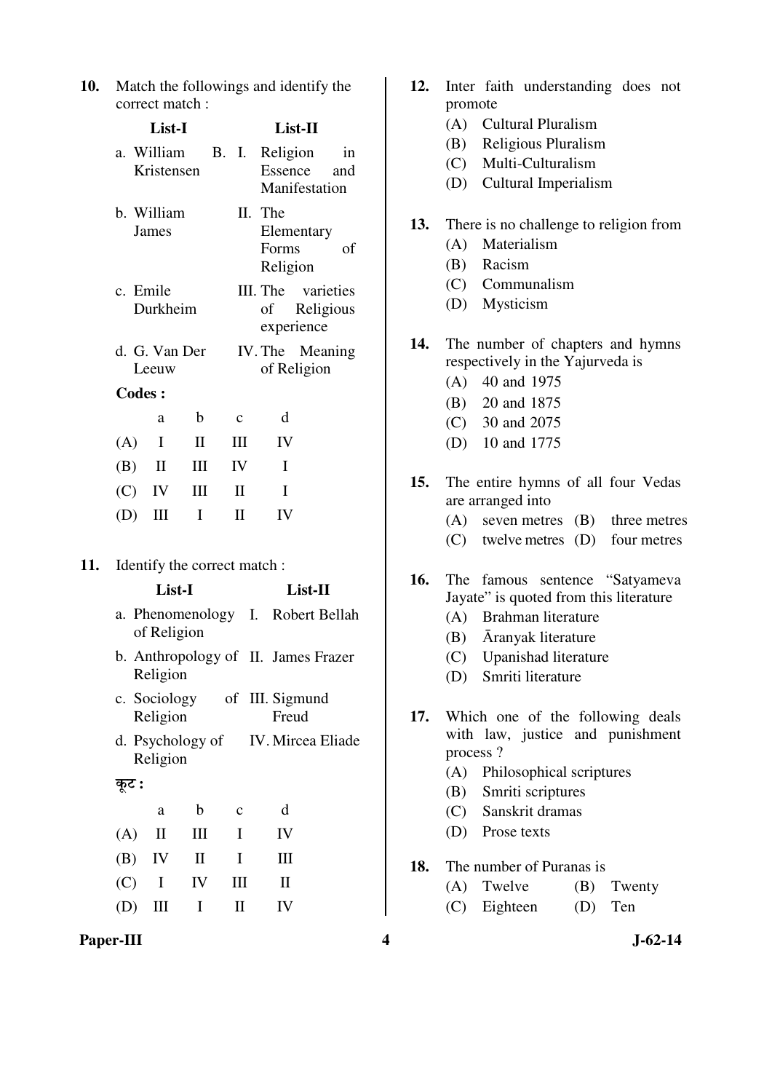| <b>10.</b> Match the followings and identify the |
|--------------------------------------------------|
| correct match:                                   |

|     |                      | List-I                   |              |                            | List-II                                             |                                     |  |  |  |
|-----|----------------------|--------------------------|--------------|----------------------------|-----------------------------------------------------|-------------------------------------|--|--|--|
|     |                      | a. William<br>Kristensen |              | B. I.                      | Religion                                            | in<br>Essence and<br>Manifestation  |  |  |  |
|     |                      | b. William<br>James      |              |                            | II. The<br>Forms<br>Religion                        | Elementary<br>of                    |  |  |  |
|     | c. Emile<br>Durkheim |                          |              |                            | III. The varieties<br>Religious<br>of<br>experience |                                     |  |  |  |
|     |                      | d. G. Van Der<br>Leeuw   |              |                            | IV. The Meaning<br>of Religion                      |                                     |  |  |  |
|     |                      | <b>Codes:</b>            |              |                            |                                                     |                                     |  |  |  |
|     |                      | a                        | b            | $\mathbf c$                | d                                                   |                                     |  |  |  |
|     | (A)                  | $\mathbf{I}$             | $\mathbf{I}$ | Ш                          | IV                                                  |                                     |  |  |  |
|     | $(B)$ II             |                          | Ш            | IV                         | I                                                   |                                     |  |  |  |
|     |                      | $(C)$ IV                 | Ш            | $\rm II$                   | I                                                   |                                     |  |  |  |
|     | (D)                  | Ш                        | I            | $\mathbf{I}$               | IV                                                  |                                     |  |  |  |
| 11. |                      | List-I                   |              |                            | Identify the correct match:                         | List-II                             |  |  |  |
|     |                      | of Religion              |              |                            |                                                     | a. Phenomenology I. Robert Bellah   |  |  |  |
|     |                      | Religion                 |              |                            |                                                     | b. Anthropology of II. James Frazer |  |  |  |
|     |                      | Religion                 |              |                            | c. Sociology of III. Sigmund<br>Freud               |                                     |  |  |  |
|     |                      | Religion                 |              |                            |                                                     | d. Psychology of IV. Mircea Eliade  |  |  |  |
|     | कूट :                |                          |              |                            |                                                     |                                     |  |  |  |
|     |                      | a                        | b            | $\mathbf c$                | d                                                   |                                     |  |  |  |
|     | (A)                  | $\mathbf H$              | Ш            | I                          | IV                                                  |                                     |  |  |  |
|     | (B)                  | IV                       | П            | I                          | III                                                 |                                     |  |  |  |
|     | (C)                  | I                        | IV           | Ш                          | П                                                   |                                     |  |  |  |
|     | (D)                  | Ш                        | I            | $\mathop{\rm II}\nolimits$ | IV                                                  |                                     |  |  |  |

|     |                   | (B) Religious Pluralism                |                          |                                   |  |  |  |  |
|-----|-------------------|----------------------------------------|--------------------------|-----------------------------------|--|--|--|--|
|     |                   | (C) Multi-Culturalism                  |                          |                                   |  |  |  |  |
|     |                   |                                        | (D) Cultural Imperialism |                                   |  |  |  |  |
| 13. |                   | There is no challenge to religion from |                          |                                   |  |  |  |  |
|     |                   | (A) Materialism                        |                          |                                   |  |  |  |  |
|     |                   | (B) Racism                             |                          |                                   |  |  |  |  |
|     |                   | (C) Communalism                        |                          |                                   |  |  |  |  |
|     |                   | (D) Mysticism                          |                          |                                   |  |  |  |  |
| 14. |                   | The number of chapters and hymns       |                          |                                   |  |  |  |  |
|     |                   | respectively in the Yajurveda is       |                          |                                   |  |  |  |  |
|     |                   | $(A)$ 40 and 1975                      |                          |                                   |  |  |  |  |
|     |                   | (B) 20 and 1875                        |                          |                                   |  |  |  |  |
|     |                   | $(C)$ 30 and 2075                      |                          |                                   |  |  |  |  |
|     |                   | (D) 10 and 1775                        |                          |                                   |  |  |  |  |
| 15. |                   | The entire hymns of all four Vedas     |                          |                                   |  |  |  |  |
|     | are arranged into |                                        |                          |                                   |  |  |  |  |
|     |                   |                                        |                          | (A) seven metres (B) three metres |  |  |  |  |
|     |                   | (C) twelve metres (D) four metres      |                          |                                   |  |  |  |  |
| 16. |                   | The famous sentence "Satyameva         |                          |                                   |  |  |  |  |
|     |                   | Jayate" is quoted from this literature |                          |                                   |  |  |  |  |
|     |                   | (A) Brahman literature                 |                          |                                   |  |  |  |  |
|     |                   | (B) Āranyak literature                 |                          |                                   |  |  |  |  |
|     |                   | (C) Upanishad literature               |                          |                                   |  |  |  |  |
|     |                   | (D) Smriti literature                  |                          |                                   |  |  |  |  |
| 17. |                   | Which one of the following deals       |                          |                                   |  |  |  |  |
|     |                   | with law, justice and punishment       |                          |                                   |  |  |  |  |
|     | process?          |                                        |                          |                                   |  |  |  |  |
|     |                   | (A) Philosophical scriptures           |                          |                                   |  |  |  |  |
|     |                   | (B) Smriti scriptures                  |                          |                                   |  |  |  |  |
|     |                   | (C) Sanskrit dramas                    |                          |                                   |  |  |  |  |
|     |                   | (D) Prose texts                        |                          |                                   |  |  |  |  |
| 18. |                   | The number of Puranas is               |                          |                                   |  |  |  |  |
|     |                   | (A) Twelve                             |                          | (B) Twenty                        |  |  |  |  |
|     |                   | (C) Eighteen                           | (D)                      | Ten                               |  |  |  |  |

**12.** Inter faith understanding does not

(A) Cultural Pluralism

promote

 $\mathsf{l}$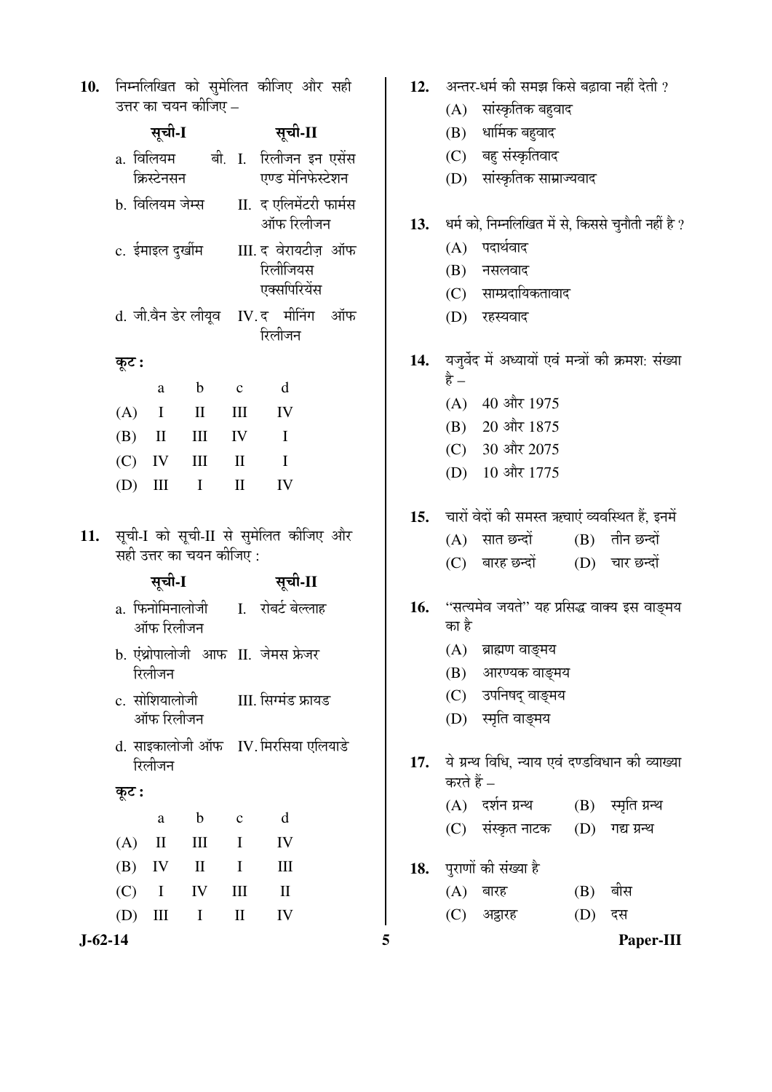| 10. निम्नलिखित को सुमेलित कीजिए और सही |  |  |  |
|----------------------------------------|--|--|--|
| उत्तर का चयन कीजिए –                   |  |  |  |

|               |            | सूची-I            |                         |                      | सूची-II                                    |    |     | (B)        | धार्मिक बहुवाद                                      |     |                |
|---------------|------------|-------------------|-------------------------|----------------------|--------------------------------------------|----|-----|------------|-----------------------------------------------------|-----|----------------|
|               |            |                   |                         |                      | a. विलियम बी. I. रिलीजन इन एसेंस           |    |     | (C)        | बहु संस्कृतिवाद                                     |     |                |
|               |            | क्रिस्टेनसन       |                         |                      | एण्ड मेनिफेस्टेशन                          |    |     | (D)        | सांस्कृतिक साम्राज्यवाद                             |     |                |
|               |            |                   | b. विलियम जेम्स         |                      | II. द एलिमेंटरी फार्मस                     |    |     |            |                                                     |     |                |
|               |            |                   |                         |                      | ऑफ रिलीजन                                  |    | 13. |            | धर्म को, निम्नलिखित में से, किससे चुनौती नहीं है ?  |     |                |
|               |            |                   | c. ईमाइल दुर्खीम        |                      | III. द वेरायटीज़ ऑफ                        |    |     | (A)        | पदार्थवाद                                           |     |                |
|               |            |                   |                         |                      | रिलीजियस<br>एक्सपिरियेंस                   |    |     | (B)        | नसलवाद                                              |     |                |
|               |            |                   |                         |                      |                                            |    |     | (C)        | साम्प्रदायिकतावाद                                   |     |                |
|               |            |                   |                         |                      | d. जी.वैन डेर लीयूव IV. द मीनिंग<br>रिलीजन | ऑफ |     | (D)        | रहस्यवाद                                            |     |                |
|               | कूट :      |                   |                         |                      |                                            |    | 14. |            | यजुर्वेद में अध्यायों एवं मन्त्रों की क्रमश: संख्या |     |                |
|               |            | a                 | $\mathbf b$             | $\mathbf c$          | $\mathbf d$                                |    |     | है –       |                                                     |     |                |
|               | (A)        | $\bf{I}$          | $\mathbf{I}$            | $\mathop{\rm III}$   | IV                                         |    |     |            | (A) 40 और 1975                                      |     |                |
|               | (B)        | $\mathbf{I}$      | $\mathop{\rm III}$      | IV                   | $\mathbf I$                                |    |     | (B)        | 20 और 1875                                          |     |                |
|               | (C)        | IV                | $\rm III$               | $\mathbf{I}$         | $\mathbf I$                                |    |     | (C)        | 30 और 2075<br>10 और 1775                            |     |                |
|               | (D)        | $\rm III$         | $\mathbf I$             | $\mathbf{I}$         | IV                                         |    |     | (D)        |                                                     |     |                |
|               |            |                   |                         |                      |                                            |    | 15. |            | चारों वेदों की समस्त ऋचाएं व्यवस्थित हैं, इनमें     |     |                |
| 11.           |            |                   |                         |                      | सूची-I को सूची-II से सुमेलित कीजिए और      |    |     | (A)        | सात छन्दों                                          |     | (B) तीन छन्दों |
|               |            |                   | सही उत्तर का चयन कीजिए: |                      |                                            |    |     |            | (C) बारह छन्दों                                     |     | (D) चार छन्दों |
|               |            | सूची-I            |                         |                      | सूची-II                                    |    |     |            |                                                     |     |                |
|               |            | ऑफ रिलीजन         |                         |                      | a. फिनोमिनालोजी     I.   रोबर्ट बेल्लाह    |    | 16. | का है      | ''सत्यमेव जयते'' यह प्रसिद्ध वाक्य इस वाङ्मय        |     |                |
|               |            |                   |                         |                      | b. एंथ्रोपालोजी आफ II. जेमस फ्रेजर         |    |     | (A)        | ब्राह्मण वाङ्मय                                     |     |                |
|               |            | रिलीजन            |                         |                      |                                            |    |     | (B)        | आरण्यक वाङ्मय                                       |     |                |
|               |            |                   |                         |                      | c. सोशियालोजी         III. सिग्मंड फ्रायड  |    |     | (C)        | उपनिषद् वाङ्मय                                      |     |                |
|               |            | ऑफ रिलीजन         |                         |                      |                                            |    |     |            | (D) स्मृति वाङ्मय                                   |     |                |
|               |            | रिलीजन            |                         |                      | d. साइकालोजी ऑफ IV. मिरसिया एलियाडे        |    | 17. |            | ये ग्रन्थ विधि, न्याय एवं दण्डविधान की व्याख्या     |     |                |
|               |            |                   |                         |                      |                                            |    |     | करते हैं – |                                                     |     |                |
|               | कूट :      |                   |                         |                      |                                            |    |     |            | (A) दर्शन ग्रन्थ                                    | (B) | स्मृति ग्रन्थ  |
|               |            | $\mathbf{a}$      | $\mathbf b$             | $\mathbf C$          | d                                          |    |     | (C)        | संस्कृत नाटक                                        | (D) | गद्य ग्रन्थ    |
|               | (A)<br>(B) | $\mathbf{I}$      | Ш<br>$\mathbf{I}$       | $\bf{I}$<br>$\bf{I}$ | IV                                         |    |     |            |                                                     |     |                |
|               |            | IV<br>$\mathbf I$ | IV                      |                      | Ш                                          |    | 18. |            | पुराणों की संख्या है                                |     | बीस            |
|               | (C)        |                   |                         | Ш                    | $\rm II$                                   |    |     | (A)<br>(C) | बारह<br>अड्डारह                                     | (B) | दस             |
|               | (D)        | $\rm III$         | I                       | $\mathbf{I}$         | IV                                         |    |     |            |                                                     | (D) |                |
| $J - 62 - 14$ |            |                   |                         |                      |                                            |    | 5   |            |                                                     |     | Paper-III      |

| 12. |            | अन्तर-धर्म की समझ किसे बढ़ावा नहीं देती ?               |                       |                   |  |  |  |  |
|-----|------------|---------------------------------------------------------|-----------------------|-------------------|--|--|--|--|
|     |            |                                                         | (A) सांस्कृतिक बहुवाद |                   |  |  |  |  |
|     |            | (B) धार्मिक बहुवाद                                      |                       |                   |  |  |  |  |
|     |            | (C) बहु संस्कृतिवाद                                     |                       |                   |  |  |  |  |
|     |            | (D) सांस्कृतिक साम्राज्यवाद                             |                       |                   |  |  |  |  |
| 13. |            | धर्म को, निम्नलिखित में से, किससे चुनौती नहीं है ?      |                       |                   |  |  |  |  |
|     |            | (A) पदार्थवाद                                           |                       |                   |  |  |  |  |
|     |            | (B) नसलवाद                                              |                       |                   |  |  |  |  |
|     |            | (C) साम्प्रदायिकतावाद                                   |                       |                   |  |  |  |  |
|     |            | (D) रहस्यवाद                                            |                       |                   |  |  |  |  |
|     |            |                                                         |                       |                   |  |  |  |  |
|     |            | 14. यजुर्वेद में अध्यायों एवं मन्त्रों की क्रमश: संख्या |                       |                   |  |  |  |  |
|     | है –       |                                                         |                       |                   |  |  |  |  |
|     |            | (A) 40 और 1975                                          |                       |                   |  |  |  |  |
|     |            | (B) 20 और 1875                                          |                       |                   |  |  |  |  |
|     |            | (C) 30 और 2075                                          |                       |                   |  |  |  |  |
|     |            | (D) 10 और 1775                                          |                       |                   |  |  |  |  |
|     |            | 15.   चारों वेदों की समस्त ऋचाएं व्यवस्थित हैं, इनमें   |                       |                   |  |  |  |  |
|     |            | (A) सात छन्दों                                          |                       | (B) तीन छन्दों    |  |  |  |  |
|     |            | (C) बारह छन्दों                                         |                       | (D) चार छन्दों    |  |  |  |  |
|     |            |                                                         |                       |                   |  |  |  |  |
|     |            | 16. "सत्यमेव जयते" यह प्रसिद्ध वाक्य इस वाङ्मय          |                       |                   |  |  |  |  |
|     | का है      |                                                         |                       |                   |  |  |  |  |
|     |            | (A) ब्राह्मण वाङ्मय                                     |                       |                   |  |  |  |  |
|     |            | (B) आरण्यक वाङ्मय                                       |                       |                   |  |  |  |  |
|     |            | (C) उपनिषद् वाङ्मय                                      |                       |                   |  |  |  |  |
|     |            | (D) स्मृति वाङ्मय                                       |                       |                   |  |  |  |  |
| 17. |            | ये ग्रन्थ विधि, न्याय एवं दण्डविधान की व्याख्या         |                       |                   |  |  |  |  |
|     | करते हैं – |                                                         |                       |                   |  |  |  |  |
|     |            | (A) दर्शन ग्रन्थ                                        |                       | (B) स्मृति ग्रन्थ |  |  |  |  |

- (C) संस्कृत नाटक (D) गद्य ग्रन्थ
- 18. पुराणों की संख्या है
	- $(A)$  बारह  $(B)$  बीस (C) अड्ठारह (D) दस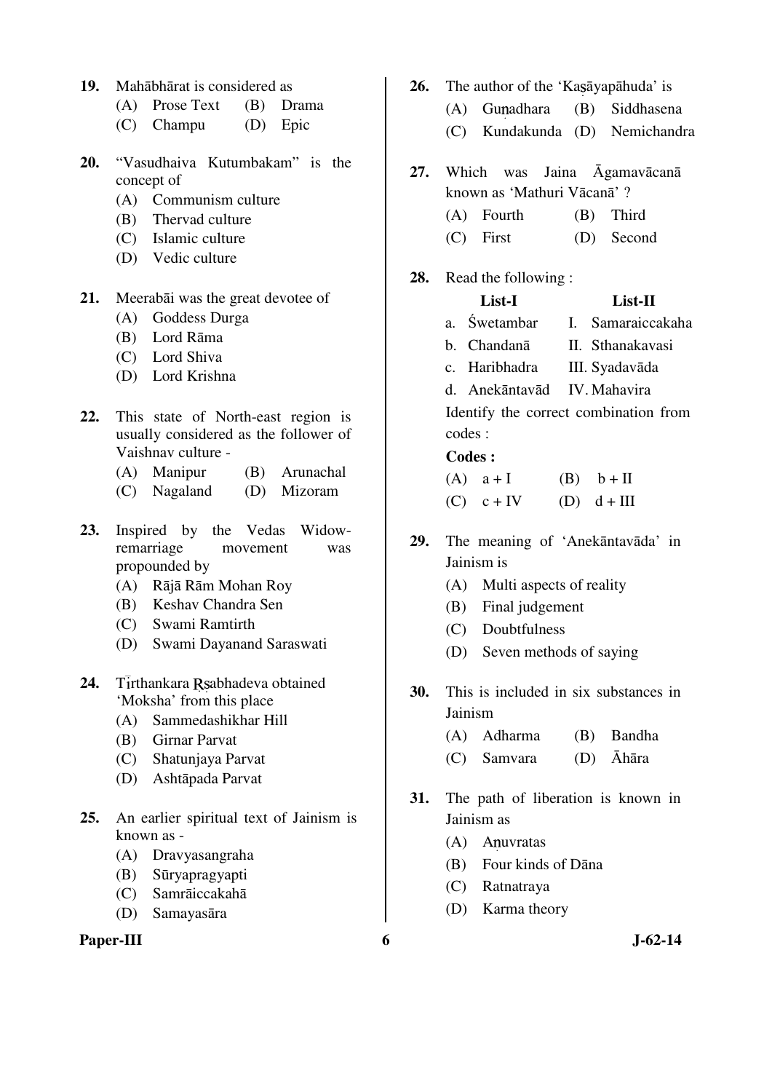- **19.** Mahābhārat is considered as
	- (A) Prose Text (B) Drama
	- (C) Champu (D) Epic
- **20.** "Vasudhaiva Kutumbakam" is the concept of
	- (A) Communism culture
	- (B) Thervad culture
	- (C) Islamic culture
	- (D) Vedic culture
- **21.** Meerabāi was the great devotee of
	- (A) Goddess Durga
	- (B) Lord Rāma
	- (C) Lord Shiva
	- (D) Lord Krishna
- **22.** This state of North-east region is usually considered as the follower of Vaishnav culture -
	- (A) Manipur (B) Arunachal
	- (C) Nagaland (D) Mizoram
- **23.** Inspired by the Vedas Widowremarriage movement was propounded by
	- (A) Rājā Rām Mohan Roy
	- (B) Keshav Chandra Sen
	- (C) Swami Ramtirth
	- (D) Swami Dayanand Saraswati
- 24. Tirthankara Rsabhadeva obtained 'Moksha' from this place
	- (A) Sammedashikhar Hill
	- (B) Girnar Parvat
	- (C) Shatunjaya Parvat
	- (D) Ashtāpada Parvat
- **25.** An earlier spiritual text of Jainism is known as -
	- (A) Dravyasangraha
	- (B) Sūryapragyapti
	- (C) Samrāiccakahā
	- (D) Samayasāra

#### Paper-III 6 J-62-14

- 26. The author of the 'Kasavapahuda' is
	- (A) Gunadhara (B) Siddhasena
	- (C) Kundakunda (D) Nemichandra
- **27.** Which was Jaina Āgamavācanā known as 'Mathuri Vācanā' ?
	- (A) Fourth (B) Third
	- (C) First (D) Second
- **28.** Read the following :

#### **List-I List-II**

- a. Śwetambar I. Samaraiccakaha
- b. Chandanā II. Sthanakavasi
- c. Haribhadra III. Syadavāda
- d. Anekāntavād IV. Mahavira

Identify the correct combination from codes :

#### **Codes :**

| $(A)$ $a + I$  | $(B)$ $b + II$ |
|----------------|----------------|
| $(C)$ $c + IV$ | (D) $d+III$    |

- **29.** The meaning of 'Anekāntavāda' in Jainism is
	- (A) Multi aspects of reality
	- (B) Final judgement
	- (C) Doubtfulness
	- (D) Seven methods of saying
- **30.** This is included in six substances in Jainism
	- (A) Adharma (B) Bandha
	- (C) Samvara (D) Āhāra
- **31.** The path of liberation is known in Jainism as
	- (A) Anuvratas
	- (B) Four kinds of Dāna
	- (C) Ratnatraya
	- (D) Karma theory
-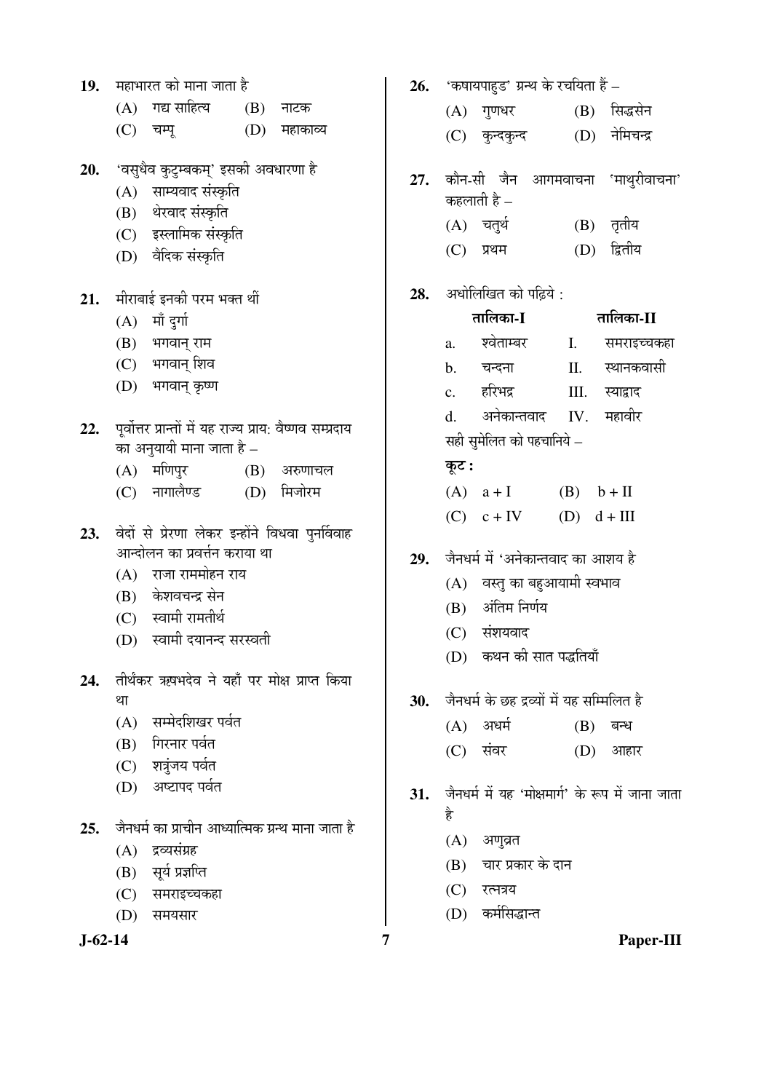|     |    | 19. महाभारत को माना जाता है                                   |             | 26. |
|-----|----|---------------------------------------------------------------|-------------|-----|
|     |    | $(A)$ गद्य साहित्य $(B)$ नाटक                                 |             |     |
|     |    | (C) चम्पू (D) महाकाव्य                                        |             |     |
|     |    | 20. 'वसुधेव कुटुम्बकम्' इसकी अवधारणा हे                       |             | 27. |
|     |    | (A) साम्यवाद संस्कृति                                         |             |     |
|     |    | (B) थेरवाद संस्कृति                                           |             |     |
|     |    | (C) इस्लामिक संस्कृति                                         |             |     |
|     |    | (D) वैदिक संस्कृति                                            |             |     |
|     |    | 21. मीराबाई इनकी परम भक्त थीं                                 |             | 28. |
|     |    | (A) माँ दुर्गा                                                |             |     |
|     |    | (B) भगवान् राम                                                |             |     |
|     |    | (C) भगवान् शिव                                                |             |     |
|     |    | (D) भगवान् कृष्ण                                              |             |     |
|     |    | 22. पूर्वोत्तर प्रान्तों में यह राज्य प्राय: वैष्णव सम्प्रदाय |             |     |
|     |    | का अनुयायी माना जाता है –                                     |             |     |
|     |    | (A) मणिपुर                                                    | (B) अरुणाचल |     |
|     |    | (C) नागालैण्ड     (D) मिजोरम                                  |             |     |
|     |    | 23. वेदों से प्रेरणा लेकर इन्होंने विधवा पुनर्विवाह           |             |     |
|     |    | आन्दोलन का प्रवर्त्तन कराया था                                |             | 29. |
|     |    | (A) राजा राममोहन राय                                          |             |     |
|     |    | (B) केशवचन्द्र सेन                                            |             |     |
|     |    | (C) स्वामी रामतीर्थ                                           |             |     |
|     |    | (D) स्वामी दयानन्द सरस्वती                                    |             |     |
| 24. |    | तीर्थंकर ऋषभदेव ने यहाँ पर मोक्ष प्राप्त किया                 |             |     |
|     | था |                                                               |             | 30. |
|     |    | (A) सम्मेदशिखर पर्वत                                          |             |     |
|     |    | (B) गिरनार पर्वत                                              |             |     |
|     |    | (C) शत्रुंजय पर्वत                                            |             |     |
|     |    | (D) अष्टापद पर्वत                                             |             | 31. |
| 25. |    | जैनधर्म का प्राचीन आध्यात्मिक ग्रन्थ माना जाता है             |             |     |
|     |    | (A) द्रव्यसंग्रह                                              |             |     |
|     |    | (B) सूर्य प्रज्ञप्ति                                          |             |     |
|     |    | (C) समराइच्चकहा                                               |             |     |
|     |    | (D) समयसार                                                    |             |     |
|     |    |                                                               |             |     |

| 19.           | महाभारत को माना जाता है                                                                | 26. | 'कषायपाहुड' ग्रन्थ के रचयिता हैं –               |
|---------------|----------------------------------------------------------------------------------------|-----|--------------------------------------------------|
|               | गद्य साहित्य<br>(A)<br>(B)<br>नाटक                                                     |     | (B) सिद्धसेन<br>गुणधर<br>(A)                     |
|               | (C)<br>(D)<br>चम्पू<br>महाकाव्य                                                        |     | नेमिचन्द्र<br>(D)<br>कुन्दकुन्द<br>(C)           |
| 20.           | 'वसुधैव कुटुम्बकम्' इसकी अवधारणा है                                                    | 27. | कौन-सी जैन आगमवाचना 'माथुरीवाचना'                |
|               | साम्यवाद संस्कृति<br>(A)                                                               |     | कहलाती है –                                      |
|               | थेरवाद संस्कृति<br>(B)                                                                 |     | (A) चतुर्थ<br>(B) तृतीय                          |
|               | इस्लामिक संस्कृति<br>(C)                                                               |     | द्वितीय                                          |
|               | वैदिक संस्कृति<br>(D)                                                                  |     | (C)<br>(D)<br>प्रथम                              |
| 21.           | मीराबाई इनकी परम भक्त थीं                                                              | 28. | अधोलिखित को पढ़िये :                             |
|               | माँ दुर्गा<br>(A)                                                                      |     | तालिका-I<br>तालिका-II                            |
|               | (B)<br>भगवान् राम                                                                      |     | श्वेताम्बर<br>Ι.<br>समराइच्चकहा<br>a.            |
|               | भगवान् शिव<br>(C)                                                                      |     | स्थानकवासी<br>II.<br>चन्दना<br>$\mathbf{b}$ .    |
|               | भगवान् कृष्ण<br>(D)                                                                    |     | हरिभद्र<br>Ш.<br>स्याद्वाद<br>c.                 |
|               |                                                                                        |     | अनेकान्तवाद<br>महावीर<br>IV.<br>d.               |
| 22.           | पूर्वोत्तर प्रान्तों में यह राज्य प्राय: वैष्णव सम्प्रदाय<br>का अनुयायी माना जाता है – |     | सही सुमेलित को पहचानिये –                        |
|               | मणिपुर<br>(A)<br>(B)<br>अरुणाचल                                                        |     | कूट :                                            |
|               | नागालैण्ड<br>मिजोरम<br>(D)<br>(C)                                                      |     | $(A)$ a + I<br>$(B)$ $b + II$                    |
|               |                                                                                        |     | (D)<br>$(C)$ $c + IV$<br>$d + III$               |
| 23.           | वेदों से प्रेरणा लेकर इन्होंने विधवा पुनर्विवाह                                        |     |                                                  |
|               | आन्दोलन का प्रवर्त्तन कराया था                                                         | 29. | जैनधर्म में 'अनेकान्तवाद का आशय है               |
|               | राजा राममोहन राय<br>(A)                                                                |     | (A) वस्तु का बहुआयामी स्वभाव                     |
|               | केशवचन्द्र सेन<br>(B)                                                                  |     | अंतिम निर्णय<br>(B)                              |
|               | स्वामी रामतीर्थ<br>(C)                                                                 |     | संशयवाद                                          |
|               | स्वामी दयानन्द सरस्वती<br>(D)                                                          |     | (C)<br>(D) कथन की सात पद्धतियाँ                  |
| 24.           | तीर्थंकर ऋषभदेव ने यहाँ पर मोक्ष प्राप्त किया                                          |     |                                                  |
|               | था                                                                                     | 30. | जैनधर्म के छह द्रव्यों में यह सम्मिलित है        |
|               | सम्मेदशिखर पर्वत<br>(A)                                                                |     | $(A)$ अधर्म<br>(B)<br>बन्ध                       |
|               | गिरनार पर्वत<br>(B)                                                                    |     | संवर<br>(D)<br>(C)<br>आहार                       |
|               | (C) शत्रुंजय पर्वत                                                                     |     |                                                  |
|               | (D) अष्टापद पर्वत                                                                      | 31. | जैनधर्म में यह 'मोक्षमार्ग' के रूप में जाना जाता |
|               |                                                                                        |     | है                                               |
| 25.           | जैनधर्म का प्राचीन आध्यात्मिक ग्रन्थ माना जाता है                                      |     | (A)<br>अणुव्रत                                   |
|               | द्रव्यसंग्रह<br>(A)                                                                    |     | चार प्रकार के दान<br>(B)                         |
|               | सूर्य प्रज्ञप्ति<br>(B)                                                                |     | (C)<br>रत्नत्रय                                  |
|               | (C)<br>समराइच्चकहा                                                                     |     | कर्मसिद्धान्त                                    |
|               | (D)<br>समयसार                                                                          |     | (D)                                              |
| $J - 62 - 14$ |                                                                                        | 7   | Paper-III                                        |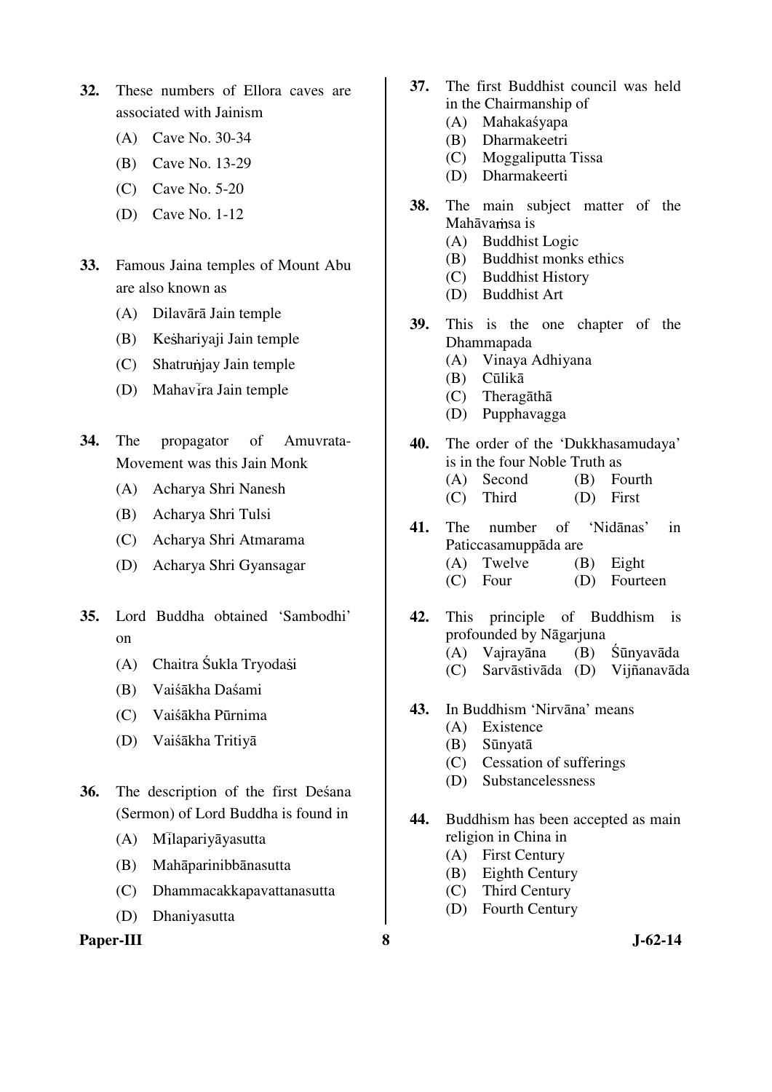- **32.** These numbers of Ellora caves are associated with Jainism
	- (A) Cave No. 30-34
	- (B) Cave No. 13-29
	- (C) Cave No. 5-20
	- (D) Cave No. 1-12
- **33.** Famous Jaina temples of Mount Abu are also known as
	- (A) Dilavārā Jain temple
	- (B) Keshariyaji Jain temple
	- (C) Shatrunjay Jain temple
	- $(D)$  Mahavira Jain temple
- **34.** The propagator of Amuvrata-Movement was this Jain Monk
	- (A) Acharya Shri Nanesh
	- (B) Acharya Shri Tulsi
	- (C) Acharya Shri Atmarama
	- (D) Acharya Shri Gyansagar
- **35.** Lord Buddha obtained 'Sambodhi' on
	- (A) Chaitra Śukla Tryodasi
	- (B) Vaiśākha Daśami
	- (C) Vaiśākha Pūrnima
	- (D) Vaiśākha Tritiyā
- **36.** The description of the first Deśana (Sermon) of Lord Buddha is found in
	- $(A)$  Milapariyāyasutta
	- (B) Mahāparinibbānasutta
	- (C) Dhammacakkapavattanasutta
	- (D) Dhaniyasutta

#### Paper-III 8 **8** J-62-14

- **37.** The first Buddhist council was held in the Chairmanship of
	- (A) Mahakaśyapa
	- (B) Dharmakeetri
	- (C) Moggaliputta Tissa
	- (D) Dharmakeerti
- **38.** The main subject matter of the Mahāvamsa is
	- (A) Buddhist Logic
	- (B) Buddhist monks ethics
	- (C) Buddhist History
	- (D) Buddhist Art
- **39.** This is the one chapter of the Dhammapada
	- (A) Vinaya Adhiyana
	- (B) Cūlikā
	- (C) Theragāthā
	- (D) Pupphavagga
- **40.** The order of the 'Dukkhasamudaya' is in the four Noble Truth as
	- (A) Second (B) Fourth
	- (C) Third (D) First
- **41.** The number of 'Nidānas' in Paticcasamuppāda are (A) Twelve (B) Eight
	- (C) Four (D) Fourteen
	-
- **42.** This principle of Buddhism is profounded by Nāgarjuna (A) Vajrayāna (B) Śūnyavāda (C) Sarvāstivāda (D) Vijñanavāda
- **43.** In Buddhism 'Nirvāna' means
	- (A) Existence
	- (B) Sūnyatā
	- (C) Cessation of sufferings
	- (D) Substancelessness
- **44.** Buddhism has been accepted as main religion in China in
	- (A) First Century
	- (B) Eighth Century
	- (C) Third Century
	- (D) Fourth Century
-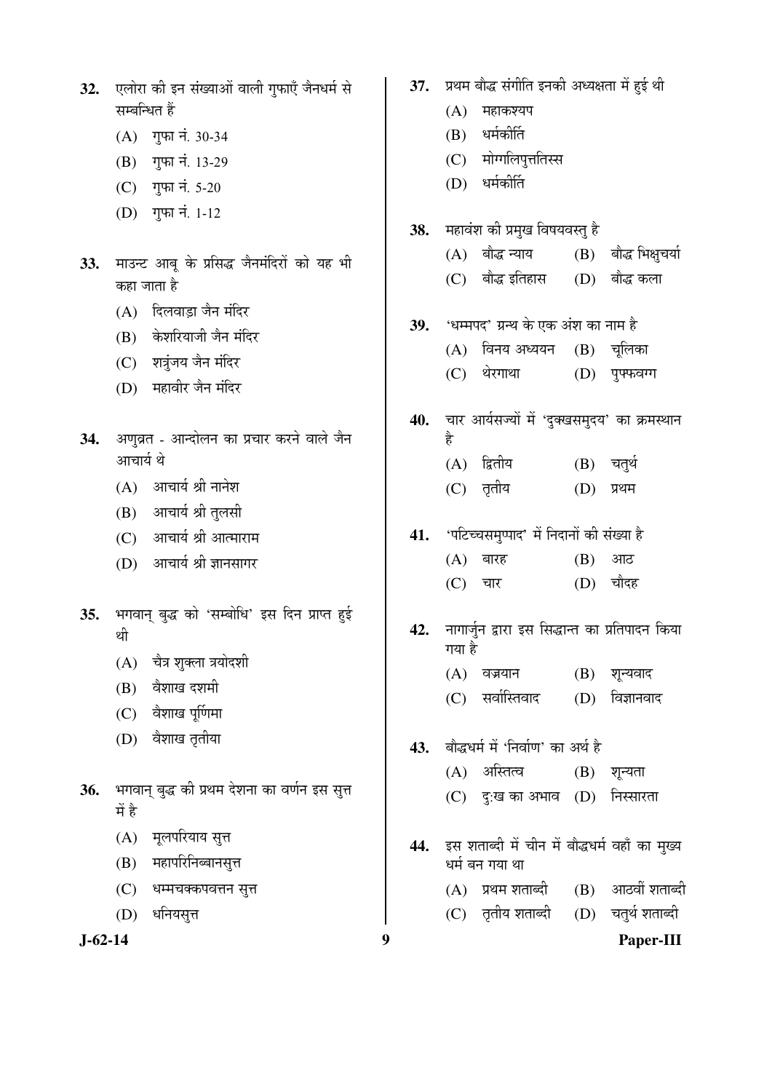| 32.           | एलोरा की इन संख्याओं वाली गुफाएँ जैनधर्म से             | 37. |        | प्रथम बौद्ध संगीति इनकी अध्यक्षता में हुई थी    |            |                   |
|---------------|---------------------------------------------------------|-----|--------|-------------------------------------------------|------------|-------------------|
|               | सम्बन्धित हैं                                           |     | (A)    | महाकश्यप                                        |            |                   |
|               | (A) गुफा नं. 30-34                                      |     | (B)    | धर्मकीर्ति                                      |            |                   |
|               | गुफा नं. 13-29<br>(B)                                   |     | (C)    | मोग्गलिपुत्ततिस्स                               |            |                   |
|               | (C) गुफा नं. 5-20                                       |     | (D)    | धर्मकीर्ति                                      |            |                   |
|               | (D) गुफा नं. 1-12                                       |     |        |                                                 |            |                   |
|               |                                                         | 38. |        | महावंश की प्रमुख विषयवस्तु है                   |            |                   |
| 33.           | माउन्ट आबू के प्रसिद्ध जैनमंदिरों को यह भी              |     |        | (A) बौद्ध न्याय                                 | (B)        | बौद्ध भिक्षुचर्या |
|               | कहा जाता है                                             |     |        | (C) बौद्ध इतिहास                                | (D)        | बौद्ध कला         |
|               | दिलवाड़ा जैन मंदिर<br>(A)                               |     |        |                                                 |            |                   |
|               | केशरियाजी जैन मंदिर<br>(B)                              | 39. |        | 'धम्मपद' ग्रन्थ के एक अंश का नाम है             |            |                   |
|               | (C) शत्रुंजय जैन मंदिर                                  |     |        | (A) विनय अध्ययन                                 |            | $(B)$ चूलिका      |
|               | (D) महावीर जैन मंदिर                                    |     | (C)    | थेरगाथा                                         | (D)        | पुफ्फवग्ग         |
|               |                                                         | 40. |        | चार आर्यसज्यों में 'दुक्खसमुदय' का क्रमस्थान    |            |                   |
| 34.           | अणुव्रत - आन्दोलन का प्रचार करने वाले जैन               |     | है     |                                                 |            |                   |
|               | आचार्य थे                                               |     |        | (A) द्वितीय                                     | (B) चतुर्थ |                   |
|               | आचार्य श्री नानेश<br>(A)                                |     | (C)    | तृतीय                                           | (D)        | प्रथम             |
|               | (B) आचार्य श्री तुलसी                                   |     |        |                                                 |            |                   |
|               | आचार्य श्री आत्माराम<br>(C)                             | 41. |        | 'पटिच्चसमुप्पाद' में निदानों की संख्या है       |            |                   |
|               | आचार्य श्री ज्ञानसागर<br>(D)                            |     | (A)    | बारह                                            | (B)        | आठ                |
|               |                                                         |     | (C)    | चार                                             | (D)        | चौदह              |
| 35.           | भगवान् बुद्ध को 'सम्बोधि' इस दिन प्राप्त हुई            |     |        |                                                 |            |                   |
|               | थी                                                      | 42. |        | नागार्जुन द्वारा इस सिद्धान्त का प्रतिपादन किया |            |                   |
|               | चेत्र शुक्ला त्रयोदशी<br>(A)                            |     | गया है |                                                 |            |                   |
|               | वैशाख दशमी<br>(B)                                       |     | (A)    | वज्रयान                                         | (B)        | शून्यवाद          |
|               | वैशाख पूर्णिमा<br>(C)                                   |     | (C)    | सर्वास्तिवाद                                    | (D)        | विज्ञानवाद        |
|               | वैशाख तृतीया<br>(D)                                     |     |        |                                                 |            |                   |
|               |                                                         | 43. |        | बौद्धधर्म में 'निर्वाण' का अर्थ है              |            |                   |
|               |                                                         |     | (A)    | अस्तित्व                                        | (B)        | शून्यता           |
| 36.           | भगवान् बुद्ध की प्रथम देशना का वर्णन इस सुत्त<br>में है |     | (C)    | $\vec{f}$ :ख का अभाव $(D)$                      |            | निस्सारता         |
|               | मूलपरियाय सुत्त<br>(A)                                  |     |        |                                                 |            |                   |
|               | महापरिनिब्बानसुत्त                                      | 44. |        | इस शताब्दी में चीन में बौद्धधर्म वहाँ का मुख्य  |            |                   |
|               | (B)                                                     |     |        | धर्म बन गया था                                  |            |                   |
|               | (C)<br>धम्मचक्कपवत्तन सुत्त                             |     |        | (A) प्रथम शताब्दी                               | (B)        | आठवीं शताब्दी     |
|               | (D)<br>र्धानेयसूत्त                                     |     |        | (C) तृतीय शताब्दी                               | (D)        | चतुर्थ शताब्दी    |
| $J - 62 - 14$ | 9                                                       |     |        |                                                 |            | Paper-III         |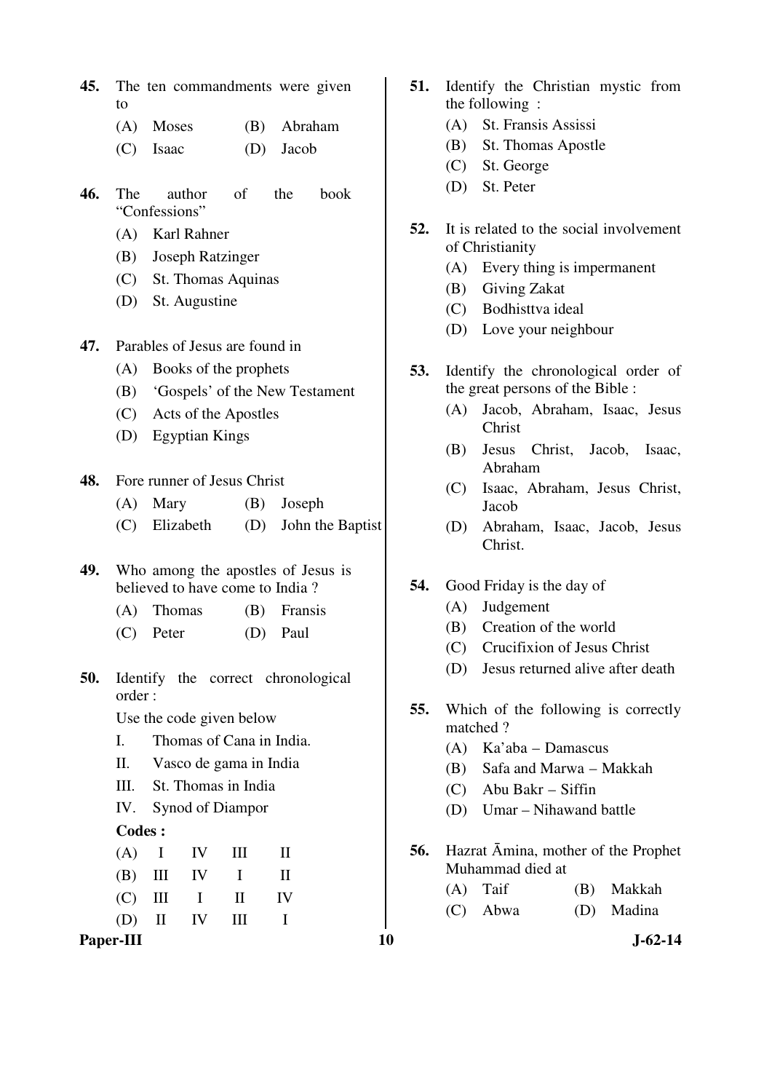- **45.** The ten commandments were given to
	- (A) Moses (B) Abraham
	- (C) Isaac (D) Jacob
- **46.** The author of the book "Confessions"
	- (A) Karl Rahner
	- (B) Joseph Ratzinger
	- (C) St. Thomas Aquinas
	- (D) St. Augustine
- **47.** Parables of Jesus are found in
	- (A) Books of the prophets
	- (B) 'Gospels' of the New Testament
	- (C) Acts of the Apostles
	- (D) Egyptian Kings
- **48.** Fore runner of Jesus Christ
	- (A) Mary (B) Joseph
	- (C) Elizabeth (D) John the Baptist
- **49.** Who among the apostles of Jesus is believed to have come to India ?
	- (A) Thomas (B) Fransis
	- (C) Peter (D) Paul
- **50.** Identify the correct chronological order :

Use the code given below

- I. Thomas of Cana in India.
- II. Vasco de gama in India
- III. St. Thomas in India
- IV. Synod of Diampor

#### **Codes :**

|  |  | $(A)$ I IV III II |  |
|--|--|-------------------|--|
|  |  | $(B)$ III IV I II |  |
|  |  | $(C)$ III I II IV |  |
|  |  | $(D)$ II IV III I |  |
|  |  |                   |  |

Paper-III **10** J-62-14

- **51.** Identify the Christian mystic from the following :
	- (A) St. Fransis Assissi
	- (B) St. Thomas Apostle
	- (C) St. George
	- (D) St. Peter
- **52.** It is related to the social involvement of Christianity
	- (A) Every thing is impermanent
	- (B) Giving Zakat
	- (C) Bodhisttva ideal
	- (D) Love your neighbour
- **53.** Identify the chronological order of the great persons of the Bible :
	- (A) Jacob, Abraham, Isaac, Jesus Christ
	- (B) Jesus Christ, Jacob, Isaac, Abraham
	- (C) Isaac, Abraham, Jesus Christ, Jacob
	- (D) Abraham, Isaac, Jacob, Jesus Christ.
- **54.** Good Friday is the day of
	- (A) Judgement
	- (B) Creation of the world
	- (C) Crucifixion of Jesus Christ
	- (D) Jesus returned alive after death
- **55.** Which of the following is correctly matched ?
	- (A) Ka'aba Damascus
	- (B) Safa and Marwa Makkah
	- (C) Abu Bakr Siffin
	- (D) Umar Nihawand battle
- **56.** Hazrat Āmina, mother of the Prophet Muhammad died at

| $(A)$ Taif | (B) Makkah |
|------------|------------|
| (C) Abwa   | (D) Madina |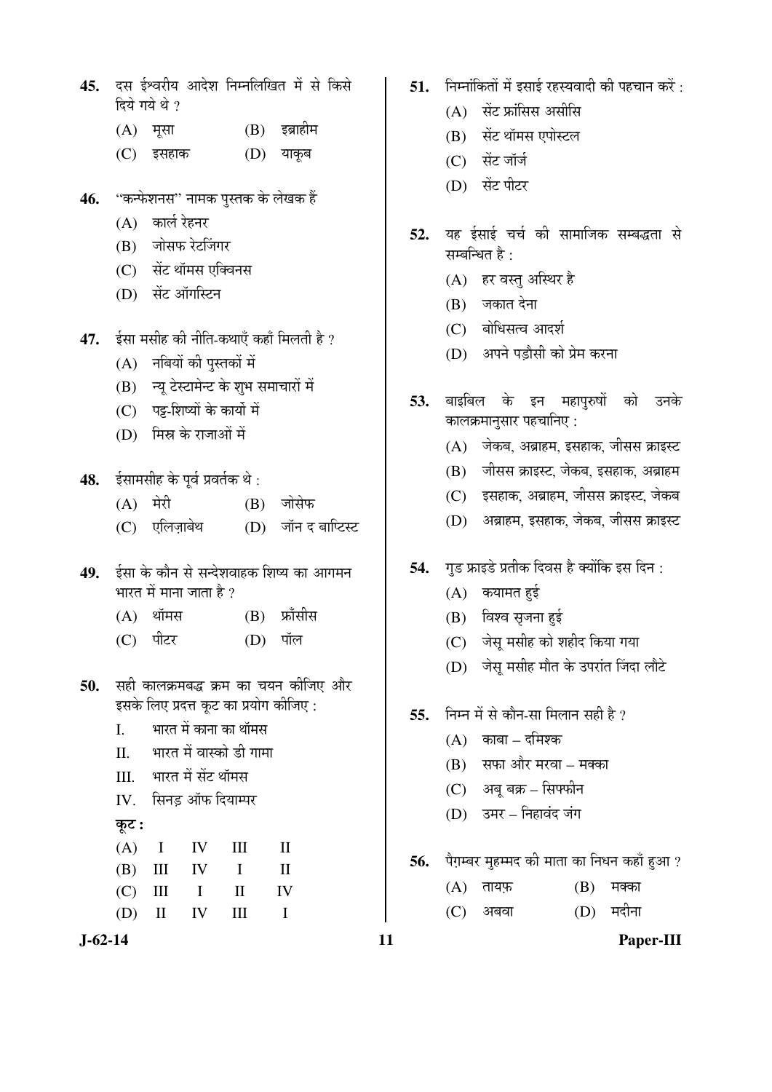| 45.  दस ईश्वरीय आदेश निम्नलिखित में से किसे |  |  |  |
|---------------------------------------------|--|--|--|
| दिये गये थे ?                               |  |  |  |

| $(A)$ मूसा |  |  | $(B)$ इब्राहीम |
|------------|--|--|----------------|
|------------|--|--|----------------|

- (C) इसहाक (D) याकृब
- 46. "कन्फेशनस" नामक पुस्तक के लेखक हैं
	- $(A)$  कार्ल रेहनर
	- (B) जोसफ रेटजिंगर
	- (C) सेंट थॉमस एक्विनस
	- (D) सेंट ऑगस्टिन
- **47.** ईसा मसीह की नीति-कथाएँ कहाँ मिलती है ?
	- $(A)$  नबियों की पुस्तकों में
	- $(B)$  न्यू टेस्टामेन्ट के शुभ समाचारों में
	- (C) पट्ट-शिष्यों के कार्यो में
	- $(D)$  मिस्र के राजाओं में
- 48. ईसामसीह के पूर्व प्रवर्तक थे:
	- $(A)$  मेरी  $(B)$  जोसेफ
	- (C) एलिज़ाबेथ (D) जॉन द बाप्टिस्ट
- 49. ईसा के कौन से सन्देशवाहक शिष्य का आगमन भारत में माना जाता है  $\overline{v}$ 
	- $(A)$  थॉमस $(B)$  फ्राँसीस
	- (C) पीटर (D) पॉल
- 50. सही कालक्रमबद्ध क्रम का चयन कीजिए और इसके लिए प्रदत्त कूट का प्रयोग कीजिए :
	- I. भारत में काना का थॉमस
	- II. भारत में वास्को डी गामा
	- III. ³ÖÖ¸üŸÖ ´Öë ÃÖë™ü £ÖÖò´ÖÃÖ
	- IV. सिनड ऑफ दियाम्पर
	- कूट :

|  | $(A)$ I IV III II |    |
|--|-------------------|----|
|  | $(B)$ III IV I    | -H |
|  | $(C)$ III I II IV |    |
|  | $(D)$ II IV III I |    |

- 51. निम्नोंकितों में इसाई रहस्यवादी की पहचान करें :
	- $(A)$  सेंट फ्रांसिस असीसि
	- (B) सेंट थॉमस एपोस्टल
	- (C) सेंट जॉर्ज
	- (D) सेंट पीटर
- 52. यह ईसाई चर्च की सामाजिक सम्बद्धता से सम्बन्धित है $\cdot$ 
	- (A) हर वस्तु अस्थिर है
	- (B) जकात देना
	- (C) बोधिसत्व आदर्श
	- (D) अपने पडौसी को प्रेम करना
- 53. बाइबिल के इन महापुरुषों को उनके कालक्रमानुसार पहचानिए :
	- $(A)$  जेकब, अब्राहम, इसहाक, जीसस क्राइस्ट
	- (B) जीसस क्राइस्ट, जेकब, इसहाक, अब्राहम
	- $(C)$  इसहाक, अब्राहम, जीसस क्राइस्ट, जेकब
	- (D) अब्राहम, इसहाक, जेकब, जीसस क्राइस्ट
- **54.** गुड फ्राइडे प्रतीक दिवस है क्योंकि इस दिन:
	- $(A)$  कयामत हुई
	- $(B)$  विश्व सृजना हुई
	- (C) जेसू मसीह को शहीद किया गया
	- (D) जेसू मसीह मौत के उपरांत जिंदा लौटे
- **55.** निम्न में से कौन-सा मिलान सही है ?
	- $(A)$  काबा दमिश्क
	- $(B)$  सफा और मरवा मक्का
	- $(C)$  अबू बक्र सिफ्फीन
	- (D) उमर निहावंद जंग
- 56. पैग़म्बर मुहम्मद की माता का निधन कहाँ हुआ ?
	- $(A)$  तायफ़  $(B)$  मक्का
	- $(C)$  अबवा  $(D)$  मदीना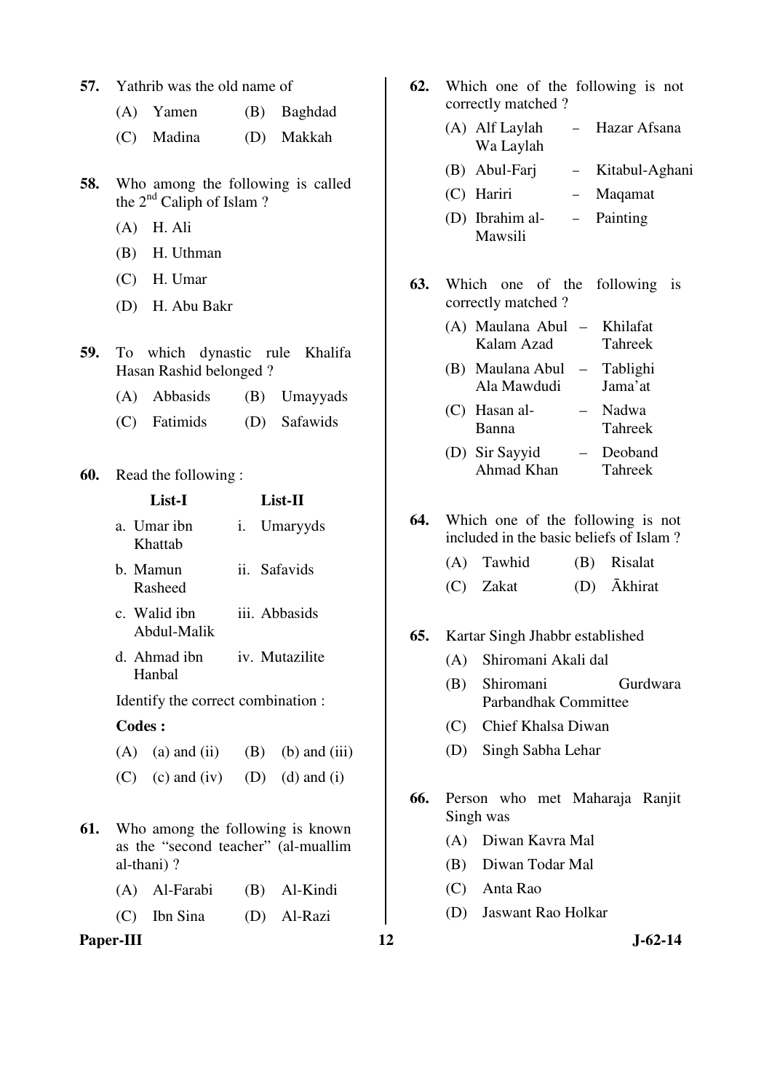| 57.<br>Yathrib was the old name of |  |  |  |  |  |
|------------------------------------|--|--|--|--|--|
|------------------------------------|--|--|--|--|--|

- (A) Yamen (B) Baghdad
- (C) Madina (D) Makkah
- **58.** Who among the following is called the  $2<sup>nd</sup>$  Caliph of Islam ?
	- (A) H. Ali
	- (B) H. Uthman
	- (C) H. Umar
	- (D) H. Abu Bakr
- **59.** To which dynastic rule Khalifa Hasan Rashid belonged ?
	- (A) Abbasids (B) Umayyads
	- (C) Fatimids (D) Safawids

#### **60.** Read the following :

|     | List-I                                                |  | List-II                                                                 |
|-----|-------------------------------------------------------|--|-------------------------------------------------------------------------|
|     | a. Umar ibn<br>Khattab                                |  | i. Umaryyds                                                             |
|     | b. Mamun<br>Rasheed                                   |  | ii. Safavids                                                            |
|     | c. Walid ibn<br>Abdul-Malik<br>d. Ahmad ibn<br>Hanbal |  | iii. Abbasids                                                           |
|     |                                                       |  | iv. Mutazilite                                                          |
|     |                                                       |  | Identify the correct combination :                                      |
|     | <b>Codes:</b>                                         |  |                                                                         |
|     | $(A)$ (a) and (ii)                                    |  | $(B)$ (b) and (iii)                                                     |
|     |                                                       |  | (C) (c) and (iv) (D) (d) and (i)                                        |
| 61. |                                                       |  | Who among the following is known<br>as the "second teacher" (al-muallim |

- 
- **61.** Who among the following is known as the "second teacher" (al-muallim al-thani) ?
	- (A) Al-Farabi (B) Al-Kindi
	- (C) Ibn Sina (D) Al-Razi

Paper-III **12** J-62-14

- **62.** Which one of the following is not correctly matched ? (A) Alf Laylah Wa Laylah – Hazar Afsana (B) Abul-Farj – Kitabul-Aghani (C) Hariri – Maqamat (D) Ibrahim al-Mawsili – Painting **63.** Which one of the following is correctly matched ? (A) Maulana Abul Kalam Azad – Khilafat Tahreek (B) Maulana Abul Ala Mawdudi – Tablighi Jama'at (C) Hasan al-Banna – Nadwa Tahreek (D) Sir Sayyid Ahmad Khan – Deoband Tahreek
- **64.** Which one of the following is not included in the basic beliefs of Islam ?
	- (A) Tawhid (B) Risalat
	- (C) Zakat (D) Ākhirat

#### **65.** Kartar Singh Jhabbr established

- (A) Shiromani Akali dal
- (B) Shiromani Gurdwara Parbandhak Committee
- (C) Chief Khalsa Diwan
- (D) Singh Sabha Lehar
- **66.** Person who met Maharaja Ranjit Singh was
	- (A) Diwan Kavra Mal
	- (B) Diwan Todar Mal
	- (C) Anta Rao
	- (D) Jaswant Rao Holkar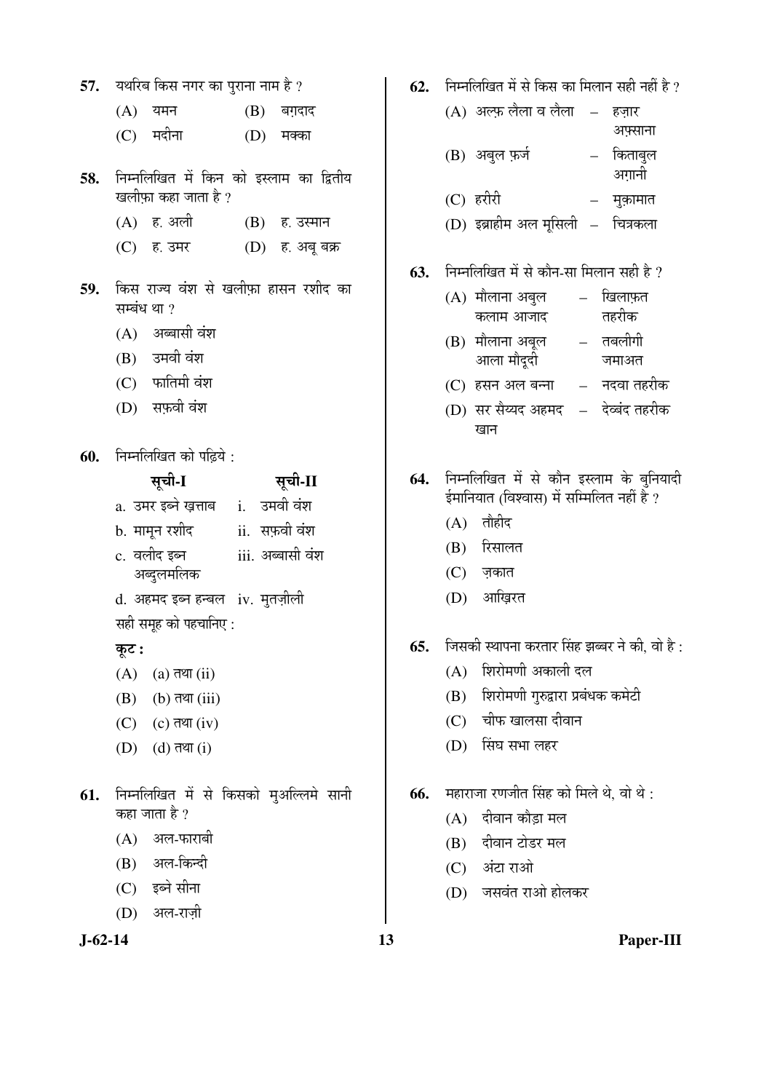|       |        |                                                                                                                                                                                                                                                                                                                                                                    | $(B)$ बग़दाद                                                                                                                                                                                                                                                                                     |
|-------|--------|--------------------------------------------------------------------------------------------------------------------------------------------------------------------------------------------------------------------------------------------------------------------------------------------------------------------------------------------------------------------|--------------------------------------------------------------------------------------------------------------------------------------------------------------------------------------------------------------------------------------------------------------------------------------------------|
|       |        |                                                                                                                                                                                                                                                                                                                                                                    | (D) मक्का                                                                                                                                                                                                                                                                                        |
|       |        |                                                                                                                                                                                                                                                                                                                                                                    |                                                                                                                                                                                                                                                                                                  |
|       |        |                                                                                                                                                                                                                                                                                                                                                                    | (B) ह. उस्मान                                                                                                                                                                                                                                                                                    |
|       |        |                                                                                                                                                                                                                                                                                                                                                                    | (D) ह. अबू बक्र                                                                                                                                                                                                                                                                                  |
|       |        |                                                                                                                                                                                                                                                                                                                                                                    |                                                                                                                                                                                                                                                                                                  |
|       |        |                                                                                                                                                                                                                                                                                                                                                                    |                                                                                                                                                                                                                                                                                                  |
|       |        |                                                                                                                                                                                                                                                                                                                                                                    |                                                                                                                                                                                                                                                                                                  |
|       |        |                                                                                                                                                                                                                                                                                                                                                                    |                                                                                                                                                                                                                                                                                                  |
|       |        |                                                                                                                                                                                                                                                                                                                                                                    |                                                                                                                                                                                                                                                                                                  |
|       |        |                                                                                                                                                                                                                                                                                                                                                                    |                                                                                                                                                                                                                                                                                                  |
|       |        |                                                                                                                                                                                                                                                                                                                                                                    |                                                                                                                                                                                                                                                                                                  |
|       | सूची-I |                                                                                                                                                                                                                                                                                                                                                                    | सूची-II                                                                                                                                                                                                                                                                                          |
|       |        |                                                                                                                                                                                                                                                                                                                                                                    |                                                                                                                                                                                                                                                                                                  |
|       |        |                                                                                                                                                                                                                                                                                                                                                                    |                                                                                                                                                                                                                                                                                                  |
|       |        |                                                                                                                                                                                                                                                                                                                                                                    |                                                                                                                                                                                                                                                                                                  |
|       |        |                                                                                                                                                                                                                                                                                                                                                                    |                                                                                                                                                                                                                                                                                                  |
|       |        |                                                                                                                                                                                                                                                                                                                                                                    |                                                                                                                                                                                                                                                                                                  |
| कूट : |        |                                                                                                                                                                                                                                                                                                                                                                    |                                                                                                                                                                                                                                                                                                  |
|       |        |                                                                                                                                                                                                                                                                                                                                                                    |                                                                                                                                                                                                                                                                                                  |
|       |        |                                                                                                                                                                                                                                                                                                                                                                    |                                                                                                                                                                                                                                                                                                  |
|       |        |                                                                                                                                                                                                                                                                                                                                                                    |                                                                                                                                                                                                                                                                                                  |
|       |        |                                                                                                                                                                                                                                                                                                                                                                    |                                                                                                                                                                                                                                                                                                  |
|       |        |                                                                                                                                                                                                                                                                                                                                                                    |                                                                                                                                                                                                                                                                                                  |
|       |        |                                                                                                                                                                                                                                                                                                                                                                    |                                                                                                                                                                                                                                                                                                  |
|       |        |                                                                                                                                                                                                                                                                                                                                                                    |                                                                                                                                                                                                                                                                                                  |
|       |        |                                                                                                                                                                                                                                                                                                                                                                    |                                                                                                                                                                                                                                                                                                  |
|       |        |                                                                                                                                                                                                                                                                                                                                                                    |                                                                                                                                                                                                                                                                                                  |
|       |        | (A) यमन<br>(C) मदीना<br>खलीफ़ा कहा जाता है ?<br>(C) ह. उमर<br>सम्बंध था ?<br>(A) अब्बासी वंश<br>(B) उमवी वंश<br>(C) फातिमी वंश<br>(D) सफ़वी वंश<br>c. वलीद इब्न<br>अब्दुलमलिक<br>$(A)$ (a) तथा (ii)<br>$(B)$ (b) तथा (iii)<br>$(C)$ $(c)$ तथा $(iv)$<br>$(D)$ $(d)$ तथा $(i)$<br>कहा जाता है ?<br>(A) अल-फाराबी<br>(B) अल-किन्दी<br>(C) इब्ने सीना<br>(D) अल-राज़ी | 58. निम्नलिखित में किन को इस्लाम का द्वितीय<br>(A) ह. अली<br>किस राज्य वंश से खलीफ़ा हासन रशीद का<br>60. निम्नलिखित को पढ़िये:<br>a. उमर इब्ने ख़त्ताब    i.   उमवी वंश<br>iii. अब्बासी वंश<br>d. अहमद इब्न हन्बल iv. मुतज़ीली<br>सही समूह को पहचानिए:<br>निम्नलिखित में से किसको मुअल्लिमे सानी |

**57.** यथरिब किस नगर का पराना नाम है ?

- **62.** FER FERD FRAGE AT A FRAGE THAT A THAT A THAT A 2
	- $(A)$  अल्फ़ लैला व लैला हज़ार अफ़्साना (B) †²Öã»Ö ±Ìú•ÖÔ – ×ÛúŸÖÖ²Öã»Ö अगानी (C) Æü¸ü߸üß – ´ÖãÛÌúÖ´ÖÖŸÖ
	- (D) इब्राहीम अल मूसिली चित्रकला
- **63.** निम्नलिखित में से कौन-सा मिलान सही है ?
	- $(A)$  मौलाना अबुल कलाम आजाद – खिलाफ़त तहरीक
	- $(B)$  मौलाना अबल आला मौदूदी – तबलीगी जमाअत
	- (C) हसन अल बन्ना नदवा तहरीक
	- (D) सर सैय्यद अहमद – देव्बंद तहरीक खान
- 64. निम्नलिखित में से कौन इस्लाम के बुनियादी  $\frac{1}{2}$ ईमानियात (विश्वास) में सम्मिलित नहीं है ?
	- $(A)$  तौहीद
	- $(B)$  रिसालत
	- $(C)$  ज़कात
	- (D) आख़िरत
- **65.** जिसकी स्थापना करतार सिंह झब्बर ने की, वो है:
	- $(A)$  शिरोमणी अकाली दल
	- $(B)$  शिरोमणी गुरुद्वारा प्रबंधक कमेटी
	- $(C)$  चीफ खालसा दीवान
	- (D) सिंघ सभा लहर
- **66.** महाराजा रणजीत सिंह को मिले थे, वो थे:
	- $(A)$  दीवान कौड़ा मल
	- (B) दीवान टोडर मल
	- $(C)$  अंटा राओ
	- (D) जसवंत राओ होलकर
- 

**J-62-14 13 Paper-III**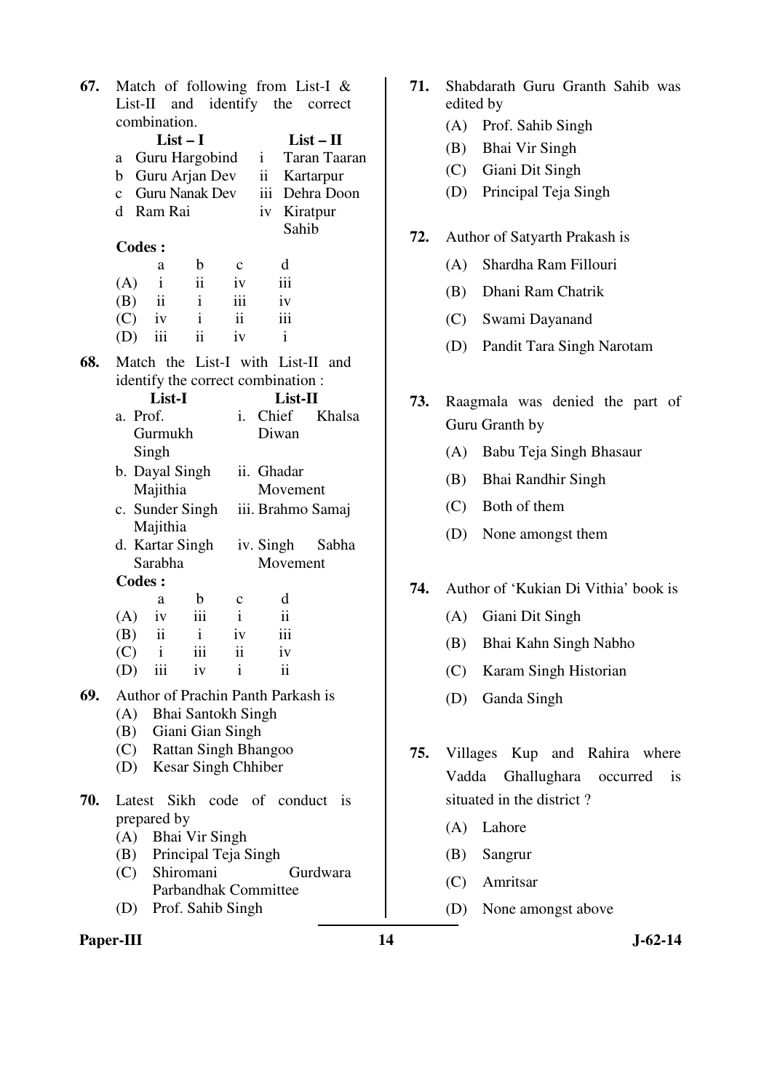| 67. |                            |                          |                          |              | Match of following from List-I $\&$ |               |  |
|-----|----------------------------|--------------------------|--------------------------|--------------|-------------------------------------|---------------|--|
|     |                            |                          |                          |              | List-II and identify the correct    |               |  |
|     |                            | combination.             |                          |              |                                     |               |  |
|     |                            | $List-I$                 |                          |              |                                     | $List - II$   |  |
|     | a                          |                          | Guru Hargobind           |              | $\mathbf{i}$                        | Taran Taaran  |  |
|     | b                          |                          | Guru Arjan Dev           |              | ii                                  | Kartarpur     |  |
|     |                            |                          | c Guru Nanak Dev         |              | iii                                 | Dehra Doon    |  |
|     |                            | d Ram Rai                |                          |              | iv                                  | Kiratpur      |  |
|     |                            |                          |                          |              | Sahib                               |               |  |
|     | <b>Codes:</b>              |                          |                          |              |                                     |               |  |
|     | $\mathbf b$<br>a           |                          | $\mathbf c$              | d            |                                     |               |  |
|     | (A)                        | $\mathbf{i}$             | $\ddot{\rm{11}}$         | iv           | iii                                 |               |  |
|     | (B)                        | $\overline{\textbf{ii}}$ | $\mathbf{i}$             | iii          | iv                                  |               |  |
|     | $(C)$ iv                   |                          | $\mathbf{i}$             | ii           | iii                                 |               |  |
|     |                            | iii                      | $\ddot{\mathbf{i}}$      | iv           | $\mathbf{i}$                        |               |  |
|     | (D)                        |                          |                          |              |                                     |               |  |
| 68. |                            |                          |                          |              | Match the List-I with List-II and   |               |  |
|     |                            |                          |                          |              | identify the correct combination:   |               |  |
|     |                            | List-I                   |                          |              | List-II                             |               |  |
|     | a. Prof.                   |                          |                          | i.           | Chief                               | Khalsa        |  |
|     |                            | Gurmukh                  |                          |              | Diwan                               |               |  |
|     |                            | Singh                    |                          |              |                                     |               |  |
|     |                            | b. Dayal Singh           |                          |              | ii. Ghadar                          |               |  |
|     |                            | Majithia                 |                          |              | Movement                            |               |  |
|     |                            |                          | c. Sunder Singh          |              | iii. Brahmo Samaj                   |               |  |
|     |                            | Majithia                 |                          |              |                                     |               |  |
|     |                            | d. Kartar Singh          |                          |              | iv. Singh                           | Sabha         |  |
|     |                            | Sarabha                  |                          |              | Movement                            |               |  |
|     | <b>Codes:</b>              |                          |                          |              |                                     |               |  |
|     |                            | a                        | $\mathbf b$              | $\mathbf c$  | d                                   |               |  |
|     | (A)                        | iv                       | iii                      | $\mathbf{i}$ | $\mathbf{ii}$                       |               |  |
|     | (B)                        | ii                       | $\mathbf{i}$             | iv           | iii                                 |               |  |
|     | $\left( \mathrm{C}\right)$ | $\mathbf{i}$             | iii                      | ii           | iv                                  |               |  |
|     | (D)                        | iii                      | iv                       | Ť            | ii                                  |               |  |
|     |                            |                          |                          |              |                                     |               |  |
| 69. |                            |                          |                          |              | Author of Prachin Panth Parkash is  |               |  |
|     |                            |                          | (A) Bhai Santokh Singh   |              |                                     |               |  |
|     |                            |                          | (B) Giani Gian Singh     |              |                                     |               |  |
|     |                            |                          | (C) Rattan Singh Bhangoo |              |                                     |               |  |
|     |                            |                          | (D) Kesar Singh Chhiber  |              |                                     |               |  |
| 70. | Latest                     |                          |                          |              | Sikh code of conduct                | <sup>is</sup> |  |
|     |                            |                          |                          |              |                                     |               |  |
|     |                            | prepared by              |                          |              |                                     |               |  |
|     | (A)                        |                          | Bhai Vir Singh           |              |                                     |               |  |
|     |                            |                          | (B) Principal Teja Singh |              |                                     |               |  |
|     |                            |                          | (C) Shiromani            |              |                                     | Gurdwara      |  |
|     |                            |                          | Parbandhak Committee     |              |                                     |               |  |
|     | (D) Prof. Sahib Singh      |                          |                          |              |                                     |               |  |

# **71.** Shabdarath Guru Granth Sahib was edited by (A) Prof. Sahib Singh (B) Bhai Vir Singh (C) Giani Dit Singh (D) Principal Teja Singh **72.** Author of Satyarth Prakash is (A) Shardha Ram Fillouri

- (B) Dhani Ram Chatrik
- (C) Swami Dayanand
- (D) Pandit Tara Singh Narotam
- **73.** Raagmala was denied the part of Guru Granth by
	- (A) Babu Teja Singh Bhasaur
	- (B) Bhai Randhir Singh
	- (C) Both of them
	- (D) None amongst them
- **74.** Author of 'Kukian Di Vithia' book is
	- (A) Giani Dit Singh
	- (B) Bhai Kahn Singh Nabho
	- (C) Karam Singh Historian
	- (D) Ganda Singh
- **75.** Villages Kup and Rahira where Vadda Ghallughara occurred is situated in the district ?
	- (A) Lahore
	- (B) Sangrur
	- (C) Amritsar
	- (D) None amongst above

Paper-III **14** J-62-14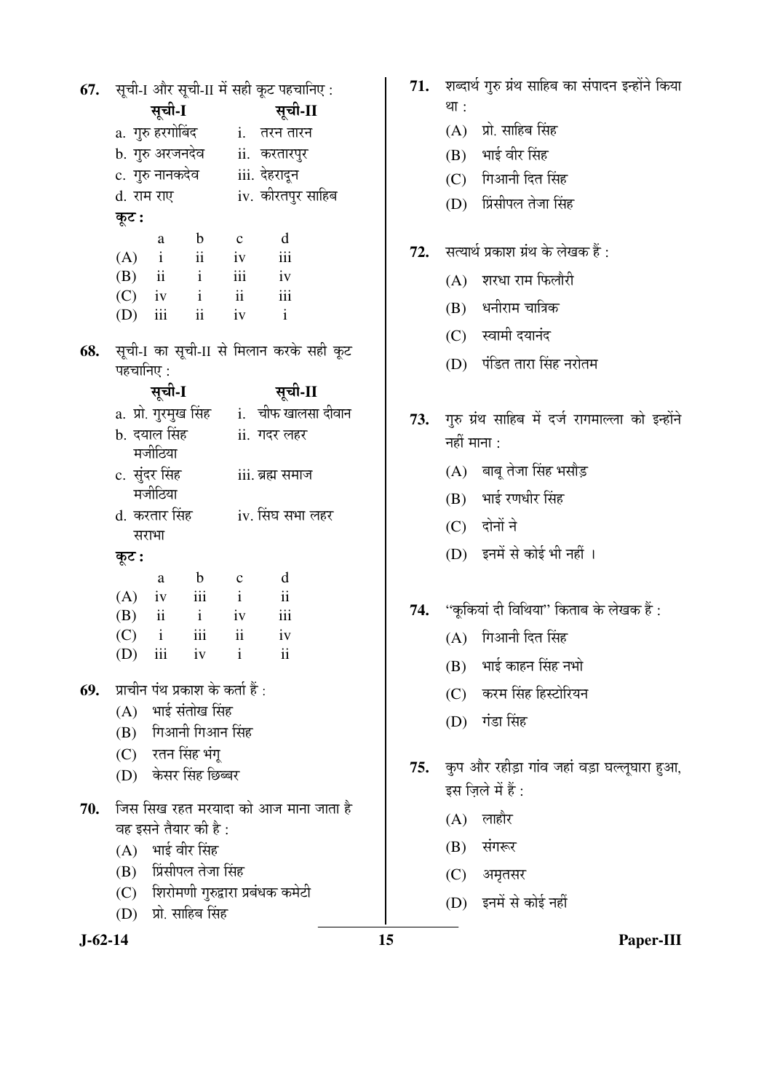|     |           |               |                                        |                           | 67. सूची-1 और सूची-II में सही कूट पहचानिए :     |  |
|-----|-----------|---------------|----------------------------------------|---------------------------|-------------------------------------------------|--|
|     |           | सूची-I        |                                        |                           | सूची-II                                         |  |
|     |           |               |                                        |                           | a. गुरु हरगोबिंद            i.    तरन तारन      |  |
|     |           |               | b. गुरु अरजनदेव                        |                           | ii. करतारपुर                                    |  |
|     |           |               | c.  गुरु नानकदेव                       |                           | iii. देहरादून                                   |  |
|     |           | d. राम राए    |                                        |                           | iv. कीरतपुर साहिब                               |  |
|     | कूट :     |               |                                        |                           |                                                 |  |
|     |           | a             | $\mathbf b$                            | $\mathbf{c}$              | d                                               |  |
|     |           |               | $(A)$ i ii iv iii                      |                           |                                                 |  |
|     |           |               | $\begin{pmatrix} B \end{pmatrix}$ ii i | $\overline{\mathbf{iii}}$ | iv                                              |  |
|     |           |               | $(C)$ iv i                             | $\overline{\mathbf{ii}}$  | $\overline{\phantom{a}}$ iii                    |  |
|     |           |               | $(D)$ iii ii                           | iv                        | $\mathbf{i}$                                    |  |
| 68. |           |               |                                        |                           | सूची-1 का सूची-II से मिलान करके सही कूट         |  |
|     | पहचानिए : |               |                                        |                           |                                                 |  |
|     |           | सूची-I        |                                        |                           | सूची-II                                         |  |
|     |           |               |                                        |                           | a. प्रो. गुरमुख सिंह       i.   चीफ खालसा दीवान |  |
|     |           | b. दयाल सिंह  |                                        |                           | ii. गदर लहर                                     |  |
|     |           | मजीठिया       |                                        |                           |                                                 |  |
|     |           | c. सुंदर सिंह |                                        | iii. ब्रह्म समाज          |                                                 |  |
|     |           | मजीठिया       |                                        |                           |                                                 |  |
|     |           | d. करतार सिंह |                                        | iv. सिंघ सभा लहर          |                                                 |  |
|     |           | सराभा         |                                        |                           |                                                 |  |
|     | कूट :     |               |                                        |                           |                                                 |  |
|     |           | a             | $\mathbf b$                            | $\mathbf{c}$              | d                                               |  |
|     |           |               | $(A)$ iv iii                           | $\mathbf{i}$              | $\rm ii$                                        |  |
|     |           |               | (B) ii i iv iii<br>iii ii              |                           | iv                                              |  |
|     | $(C)$ i   | $(D)$ iii iv  |                                        | $\mathbf{i}$              | $\overline{\mathbf{u}}$                         |  |
|     |           |               |                                        |                           |                                                 |  |
| 69. |           |               | प्राचीन पंथ प्रकाश के कर्ता हैं :      |                           |                                                 |  |
|     |           |               | (A) भाई संतोख सिंह                     |                           |                                                 |  |
|     |           |               | (B) गिआनी गिआन सिंह                    |                           |                                                 |  |
|     |           |               | (C) रतन सिंह भंगू                      |                           |                                                 |  |
|     |           |               | (D) केसर सिंह छिब्बर                   |                           |                                                 |  |
| 70. |           |               |                                        |                           | जिस सिख रहत मरयादा को आज माना जाता है           |  |
|     |           |               | वह इसने तैयार की है :                  |                           |                                                 |  |
|     |           |               | (A) भाई वीर सिंह                       |                           |                                                 |  |
|     |           |               | (B) प्रिंसीपल तेजा सिंह                |                           |                                                 |  |
|     |           |               |                                        |                           | (C) शिरोमणी गुरुद्वारा प्रबंधक कमेटी            |  |
|     |           |               | (D) प्रो. साहिब सिंह                   |                           |                                                 |  |
|     |           |               |                                        |                           |                                                 |  |

71. शब्दार्थ गुरु ग्रंथ साहिब का संपादन इन्होंने किया था $:$ 

- $(A)$  प्रो. साहिब सिंह
- $(B)$  भाई वीर सिंह
- $(C)$  गिआनी दित सिंह
- (D) प्रिंसीपल तेजा सिंह
- 72. सत्यार्थ प्रकाश ग्रंथ के लेखक हैं:
	- $(A)$  शरधा राम फिलौरी
	- $(B)$  धनीराम चात्रिक
	- $(C)$  स्वामी दयानंद
	- (D) पंडित तारा सिंह नरोतम
- 73. गुरु ग्रंथ साहिब में दर्ज रागमाल्ला को इन्होंने नहीं माना $:$ 
	- $(A)$  बाबू तेजा सिंह भसौड़
	- $(B)$  भाई रणधीर सिंह
	- $(C)$  दोनों ने
	- (D) इनमें से कोई भी नहीं ।
- 74. "कूकियां दी विथिया" किताब के लेखक हैं :
	- $(A)$  गिआनी दित सिंह
	- $(B)$  भाई काहन सिंह नभो
	- (C) करम सिंह हिस्टोरियन
	- (D) गंडा सिंह
- 75. कुप और रहीड़ा गांव जहां वड़ा घल्लूघारा हुआ, इस ज़िले में हैं :
	- $(A)$  लाहौर
	- $(B)$  संगरूर
	- $(C)$  अमृतसर
	- (D) इनमें से कोई नहीं
- **J-62-14 15 Paper-III**